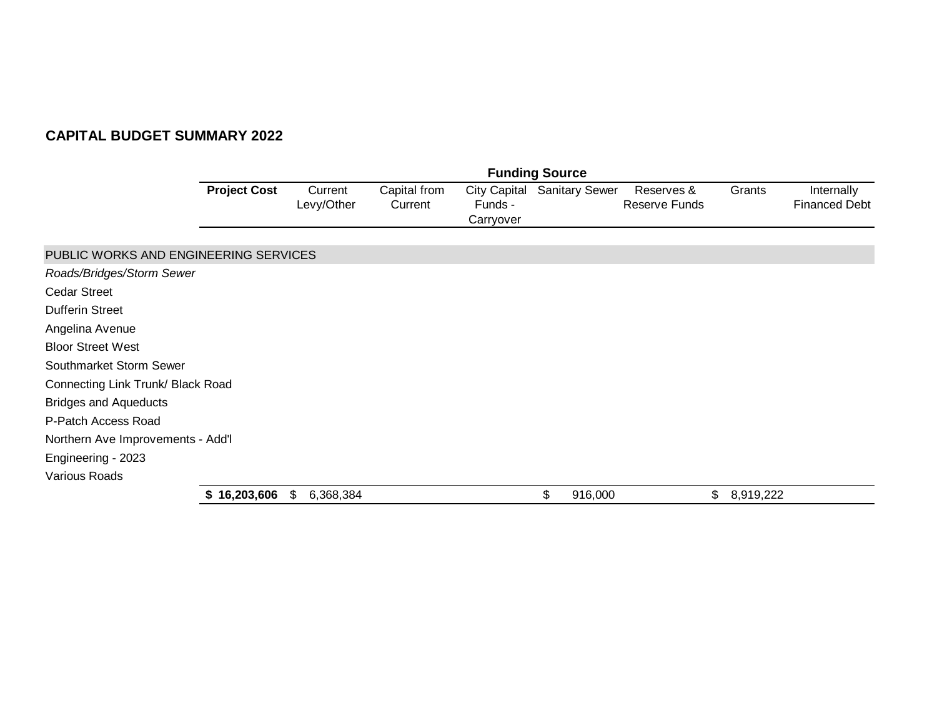|                                       |                     |                       |                         |                                             | <b>Funding Source</b> |                             |                 |                                    |
|---------------------------------------|---------------------|-----------------------|-------------------------|---------------------------------------------|-----------------------|-----------------------------|-----------------|------------------------------------|
|                                       | <b>Project Cost</b> | Current<br>Levy/Other | Capital from<br>Current | <b>City Capital</b><br>Funds -<br>Carryover | <b>Sanitary Sewer</b> | Reserves &<br>Reserve Funds | Grants          | Internally<br><b>Financed Debt</b> |
| PUBLIC WORKS AND ENGINEERING SERVICES |                     |                       |                         |                                             |                       |                             |                 |                                    |
| Roads/Bridges/Storm Sewer             |                     |                       |                         |                                             |                       |                             |                 |                                    |
| <b>Cedar Street</b>                   |                     |                       |                         |                                             |                       |                             |                 |                                    |
| <b>Dufferin Street</b>                |                     |                       |                         |                                             |                       |                             |                 |                                    |
| Angelina Avenue                       |                     |                       |                         |                                             |                       |                             |                 |                                    |
| <b>Bloor Street West</b>              |                     |                       |                         |                                             |                       |                             |                 |                                    |
| Southmarket Storm Sewer               |                     |                       |                         |                                             |                       |                             |                 |                                    |
| Connecting Link Trunk/ Black Road     |                     |                       |                         |                                             |                       |                             |                 |                                    |
| <b>Bridges and Aqueducts</b>          |                     |                       |                         |                                             |                       |                             |                 |                                    |
| P-Patch Access Road                   |                     |                       |                         |                                             |                       |                             |                 |                                    |
| Northern Ave Improvements - Add'l     |                     |                       |                         |                                             |                       |                             |                 |                                    |
| Engineering - 2023                    |                     |                       |                         |                                             |                       |                             |                 |                                    |
| <b>Various Roads</b>                  |                     |                       |                         |                                             |                       |                             |                 |                                    |
|                                       | \$16,203,606        | 6,368,384<br>\$       |                         |                                             | \$<br>916,000         |                             | \$<br>8,919,222 |                                    |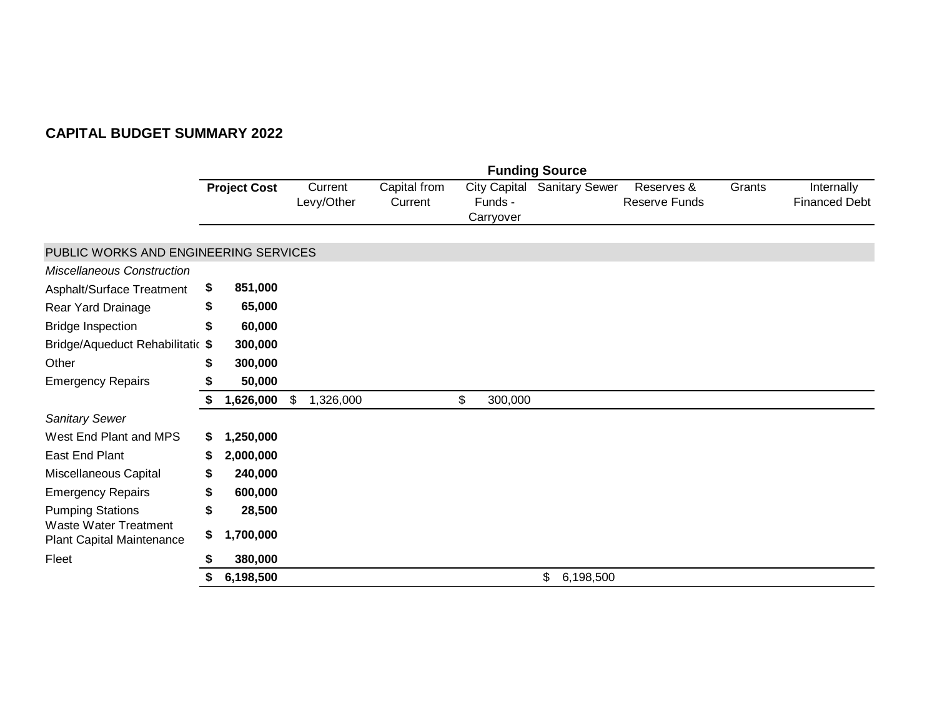|                                                           |     |                     |                       |                         |                                             | <b>Funding Source</b> |                             |        |                                    |
|-----------------------------------------------------------|-----|---------------------|-----------------------|-------------------------|---------------------------------------------|-----------------------|-----------------------------|--------|------------------------------------|
|                                                           |     | <b>Project Cost</b> | Current<br>Levy/Other | Capital from<br>Current | <b>City Capital</b><br>Funds -<br>Carryover | <b>Sanitary Sewer</b> | Reserves &<br>Reserve Funds | Grants | Internally<br><b>Financed Debt</b> |
| PUBLIC WORKS AND ENGINEERING SERVICES                     |     |                     |                       |                         |                                             |                       |                             |        |                                    |
| <b>Miscellaneous Construction</b>                         |     |                     |                       |                         |                                             |                       |                             |        |                                    |
| Asphalt/Surface Treatment                                 | \$. | 851,000             |                       |                         |                                             |                       |                             |        |                                    |
| Rear Yard Drainage                                        | \$  | 65,000              |                       |                         |                                             |                       |                             |        |                                    |
| <b>Bridge Inspection</b>                                  | \$  | 60,000              |                       |                         |                                             |                       |                             |        |                                    |
| Bridge/Aqueduct Rehabilitatic \$                          |     | 300,000             |                       |                         |                                             |                       |                             |        |                                    |
| Other                                                     | \$  | 300,000             |                       |                         |                                             |                       |                             |        |                                    |
| <b>Emergency Repairs</b>                                  | S   | 50,000              |                       |                         |                                             |                       |                             |        |                                    |
|                                                           | \$  | 1,626,000           | \$<br>1,326,000       |                         | \$<br>300,000                               |                       |                             |        |                                    |
| <b>Sanitary Sewer</b>                                     |     |                     |                       |                         |                                             |                       |                             |        |                                    |
| West End Plant and MPS                                    | \$  | 1,250,000           |                       |                         |                                             |                       |                             |        |                                    |
| East End Plant                                            | S   | 2,000,000           |                       |                         |                                             |                       |                             |        |                                    |
| Miscellaneous Capital                                     | S   | 240,000             |                       |                         |                                             |                       |                             |        |                                    |
| <b>Emergency Repairs</b>                                  | \$  | 600,000             |                       |                         |                                             |                       |                             |        |                                    |
| <b>Pumping Stations</b>                                   | \$  | 28,500              |                       |                         |                                             |                       |                             |        |                                    |
| <b>Waste Water Treatment</b><br>Plant Capital Maintenance | \$  | 1,700,000           |                       |                         |                                             |                       |                             |        |                                    |
| Fleet                                                     |     | 380,000             |                       |                         |                                             |                       |                             |        |                                    |
|                                                           | \$  | 6,198,500           |                       |                         |                                             | \$<br>6,198,500       |                             |        |                                    |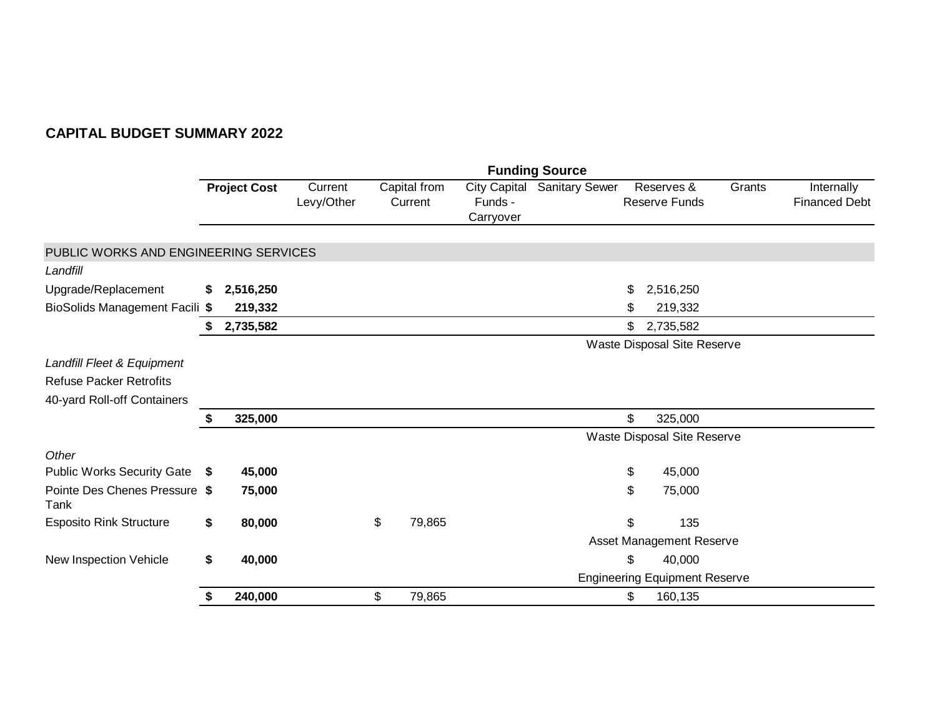|                                       |    |                     |                       | <b>Funding Source</b> |                         |                                      |                       |              |                                      |        |                                    |  |  |  |
|---------------------------------------|----|---------------------|-----------------------|-----------------------|-------------------------|--------------------------------------|-----------------------|--------------|--------------------------------------|--------|------------------------------------|--|--|--|
|                                       |    | <b>Project Cost</b> | Current<br>Levy/Other |                       | Capital from<br>Current | City Capital<br>Funds -<br>Carryover | <b>Sanitary Sewer</b> |              | Reserves &<br><b>Reserve Funds</b>   | Grants | Internally<br><b>Financed Debt</b> |  |  |  |
| PUBLIC WORKS AND ENGINEERING SERVICES |    |                     |                       |                       |                         |                                      |                       |              |                                      |        |                                    |  |  |  |
| Landfill                              |    |                     |                       |                       |                         |                                      |                       |              |                                      |        |                                    |  |  |  |
| Upgrade/Replacement                   | \$ | 2,516,250           |                       |                       |                         |                                      |                       | \$           | 2,516,250                            |        |                                    |  |  |  |
| BioSolids Management Facili \$        |    | 219,332             |                       |                       |                         |                                      |                       | \$           | 219,332                              |        |                                    |  |  |  |
|                                       |    | 2,735,582           |                       |                       |                         |                                      |                       | \$           | 2,735,582                            |        |                                    |  |  |  |
|                                       |    |                     |                       |                       |                         |                                      |                       |              | Waste Disposal Site Reserve          |        |                                    |  |  |  |
| Landfill Fleet & Equipment            |    |                     |                       |                       |                         |                                      |                       |              |                                      |        |                                    |  |  |  |
| <b>Refuse Packer Retrofits</b>        |    |                     |                       |                       |                         |                                      |                       |              |                                      |        |                                    |  |  |  |
| 40-yard Roll-off Containers           |    |                     |                       |                       |                         |                                      |                       |              |                                      |        |                                    |  |  |  |
|                                       | S  | 325,000             |                       |                       |                         |                                      |                       | $\mathbb{S}$ | 325,000                              |        |                                    |  |  |  |
|                                       |    |                     |                       |                       |                         |                                      |                       |              | Waste Disposal Site Reserve          |        |                                    |  |  |  |
| Other                                 |    |                     |                       |                       |                         |                                      |                       |              |                                      |        |                                    |  |  |  |
| Public Works Security Gate \$         |    | 45,000              |                       |                       |                         |                                      |                       | \$           | 45,000                               |        |                                    |  |  |  |
| Pointe Des Chenes Pressure \$<br>Tank |    | 75,000              |                       |                       |                         |                                      |                       | \$           | 75,000                               |        |                                    |  |  |  |
| <b>Esposito Rink Structure</b>        | \$ | 80,000              |                       | \$                    | 79,865                  |                                      |                       | \$           | 135                                  |        |                                    |  |  |  |
|                                       |    |                     |                       |                       |                         |                                      |                       |              | Asset Management Reserve             |        |                                    |  |  |  |
| New Inspection Vehicle                | \$ | 40,000              |                       |                       |                         |                                      |                       | \$           | 40,000                               |        |                                    |  |  |  |
|                                       |    |                     |                       |                       |                         |                                      |                       |              | <b>Engineering Equipment Reserve</b> |        |                                    |  |  |  |
|                                       | \$ | 240,000             |                       | \$                    | 79,865                  |                                      |                       | \$           | 160,135                              |        |                                    |  |  |  |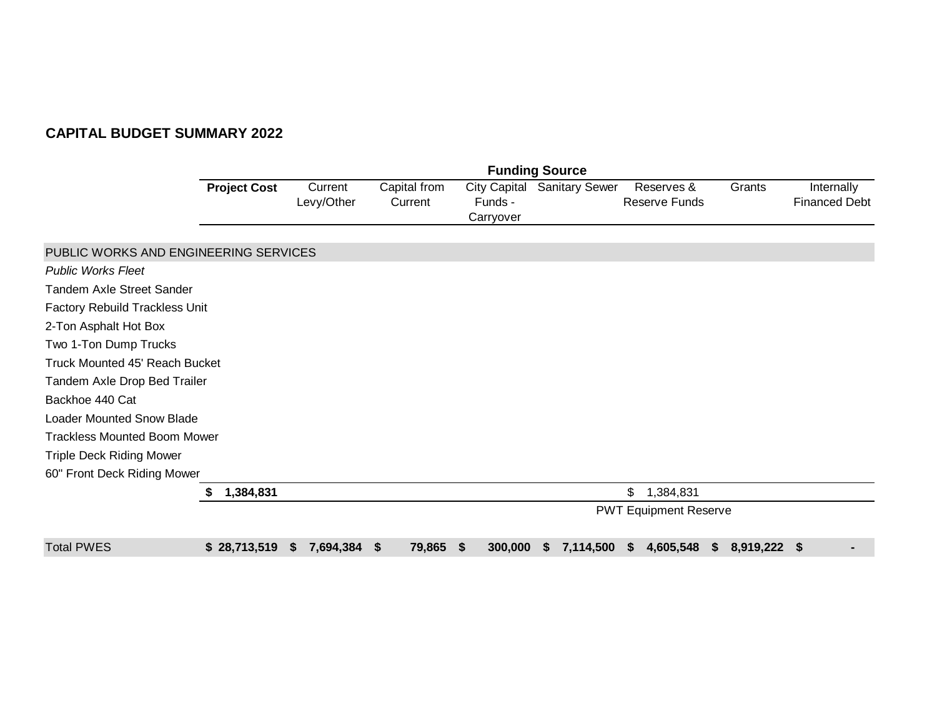|                                       |                     |                       |                         |                                             | <b>Funding Source</b> |                              |                 |                                    |
|---------------------------------------|---------------------|-----------------------|-------------------------|---------------------------------------------|-----------------------|------------------------------|-----------------|------------------------------------|
|                                       | <b>Project Cost</b> | Current<br>Levy/Other | Capital from<br>Current | <b>City Capital</b><br>Funds -<br>Carryover | <b>Sanitary Sewer</b> | Reserves &<br>Reserve Funds  | Grants          | Internally<br><b>Financed Debt</b> |
| PUBLIC WORKS AND ENGINEERING SERVICES |                     |                       |                         |                                             |                       |                              |                 |                                    |
| <b>Public Works Fleet</b>             |                     |                       |                         |                                             |                       |                              |                 |                                    |
| <b>Tandem Axle Street Sander</b>      |                     |                       |                         |                                             |                       |                              |                 |                                    |
| Factory Rebuild Trackless Unit        |                     |                       |                         |                                             |                       |                              |                 |                                    |
| 2-Ton Asphalt Hot Box                 |                     |                       |                         |                                             |                       |                              |                 |                                    |
| Two 1-Ton Dump Trucks                 |                     |                       |                         |                                             |                       |                              |                 |                                    |
| <b>Truck Mounted 45' Reach Bucket</b> |                     |                       |                         |                                             |                       |                              |                 |                                    |
| Tandem Axle Drop Bed Trailer          |                     |                       |                         |                                             |                       |                              |                 |                                    |
| Backhoe 440 Cat                       |                     |                       |                         |                                             |                       |                              |                 |                                    |
| <b>Loader Mounted Snow Blade</b>      |                     |                       |                         |                                             |                       |                              |                 |                                    |
| <b>Trackless Mounted Boom Mower</b>   |                     |                       |                         |                                             |                       |                              |                 |                                    |
| <b>Triple Deck Riding Mower</b>       |                     |                       |                         |                                             |                       |                              |                 |                                    |
| 60" Front Deck Riding Mower           |                     |                       |                         |                                             |                       |                              |                 |                                    |
|                                       | 1,384,831<br>S      |                       |                         |                                             |                       | \$<br>1,384,831              |                 |                                    |
|                                       |                     |                       |                         |                                             |                       | <b>PWT Equipment Reserve</b> |                 |                                    |
| <b>Total PWES</b>                     | \$28,713,519        | 7,694,384<br>S.       | 79,865<br><b>S</b>      | 300,000<br>- \$                             | 7,114,500 \$<br>S.    | 4,605,548                    | $$8,919,222$ \$ |                                    |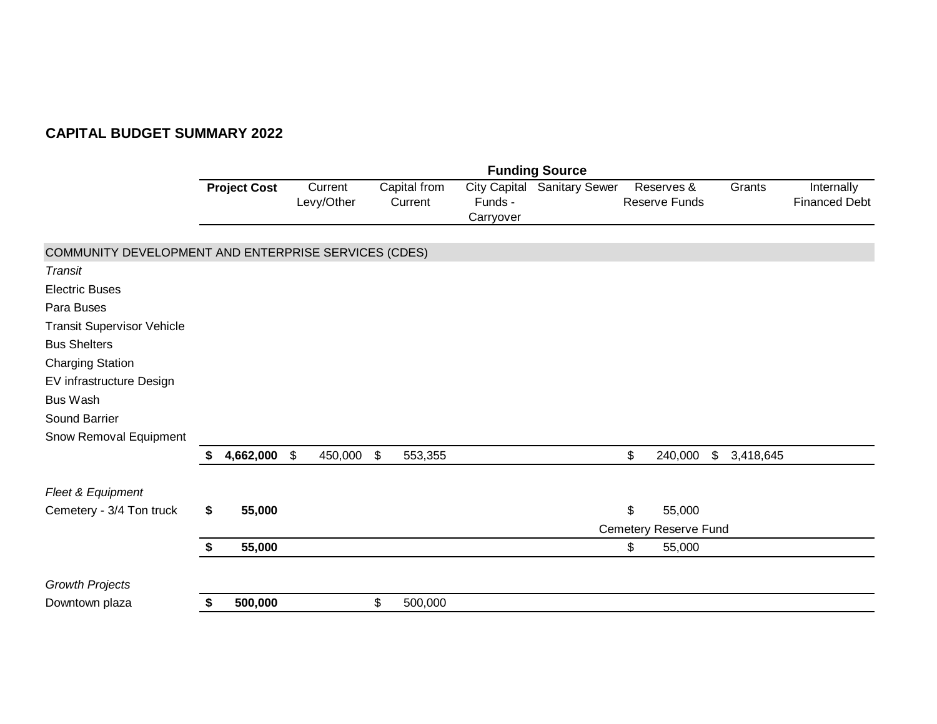|                                                      |    |                     |                          |               |                         |                      | <b>Funding Source</b>       |                             |                 |                                    |
|------------------------------------------------------|----|---------------------|--------------------------|---------------|-------------------------|----------------------|-----------------------------|-----------------------------|-----------------|------------------------------------|
|                                                      |    | <b>Project Cost</b> | Current<br>Levy/Other    |               | Capital from<br>Current | Funds -<br>Carryover | City Capital Sanitary Sewer | Reserves &<br>Reserve Funds | Grants          | Internally<br><b>Financed Debt</b> |
| COMMUNITY DEVELOPMENT AND ENTERPRISE SERVICES (CDES) |    |                     |                          |               |                         |                      |                             |                             |                 |                                    |
| Transit                                              |    |                     |                          |               |                         |                      |                             |                             |                 |                                    |
| <b>Electric Buses</b>                                |    |                     |                          |               |                         |                      |                             |                             |                 |                                    |
| Para Buses                                           |    |                     |                          |               |                         |                      |                             |                             |                 |                                    |
| <b>Transit Supervisor Vehicle</b>                    |    |                     |                          |               |                         |                      |                             |                             |                 |                                    |
| <b>Bus Shelters</b>                                  |    |                     |                          |               |                         |                      |                             |                             |                 |                                    |
| <b>Charging Station</b>                              |    |                     |                          |               |                         |                      |                             |                             |                 |                                    |
| EV infrastructure Design                             |    |                     |                          |               |                         |                      |                             |                             |                 |                                    |
| <b>Bus Wash</b>                                      |    |                     |                          |               |                         |                      |                             |                             |                 |                                    |
| Sound Barrier                                        |    |                     |                          |               |                         |                      |                             |                             |                 |                                    |
| Snow Removal Equipment                               |    |                     |                          |               |                         |                      |                             |                             |                 |                                    |
|                                                      |    | 4,662,000           | $\sqrt[6]{3}$<br>450,000 | $\sqrt[6]{3}$ | 553,355                 |                      |                             | \$<br>240,000               | \$<br>3,418,645 |                                    |
| Fleet & Equipment                                    |    |                     |                          |               |                         |                      |                             |                             |                 |                                    |
| Cemetery - 3/4 Ton truck                             | \$ | 55,000              |                          |               |                         |                      |                             | \$<br>55,000                |                 |                                    |
|                                                      |    |                     |                          |               |                         |                      |                             | Cemetery Reserve Fund       |                 |                                    |
|                                                      | \$ | 55,000              |                          |               |                         |                      |                             | \$<br>55,000                |                 |                                    |
| <b>Growth Projects</b>                               |    |                     |                          |               |                         |                      |                             |                             |                 |                                    |
| Downtown plaza                                       | S  | 500,000             |                          | \$            | 500,000                 |                      |                             |                             |                 |                                    |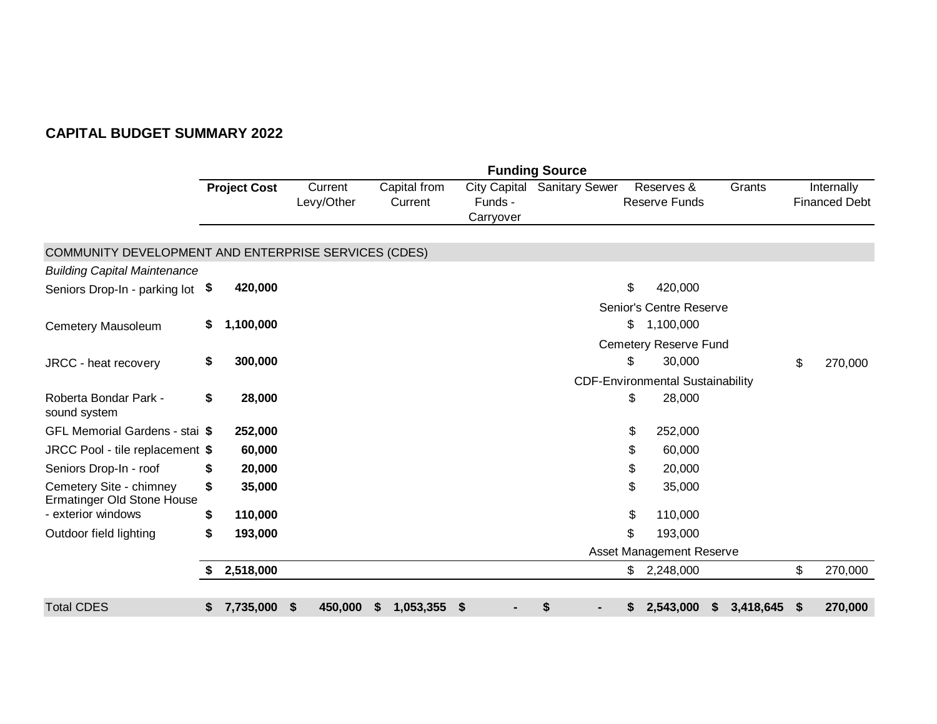|                                                              |    |                     |                                      |                         |                                        |                                             | <b>Funding Source</b> |                                         |           |                           |                                    |
|--------------------------------------------------------------|----|---------------------|--------------------------------------|-------------------------|----------------------------------------|---------------------------------------------|-----------------------|-----------------------------------------|-----------|---------------------------|------------------------------------|
|                                                              |    | <b>Project Cost</b> | Current<br>Levy/Other                | Capital from<br>Current |                                        | <b>City Capital</b><br>Funds -<br>Carryover | <b>Sanitary Sewer</b> | Reserves &<br><b>Reserve Funds</b>      | Grants    |                           | Internally<br><b>Financed Debt</b> |
| COMMUNITY DEVELOPMENT AND ENTERPRISE SERVICES (CDES)         |    |                     |                                      |                         |                                        |                                             |                       |                                         |           |                           |                                    |
| <b>Building Capital Maintenance</b>                          |    |                     |                                      |                         |                                        |                                             |                       |                                         |           |                           |                                    |
| Seniors Drop-In - parking lot                                | \$ | 420,000             |                                      |                         |                                        |                                             |                       | \$<br>420,000                           |           |                           |                                    |
|                                                              |    |                     |                                      |                         |                                        |                                             |                       | Senior's Centre Reserve                 |           |                           |                                    |
| Cemetery Mausoleum                                           | \$ | 1,100,000           |                                      |                         |                                        |                                             |                       | \$<br>1,100,000                         |           |                           |                                    |
|                                                              |    |                     |                                      |                         |                                        |                                             |                       | <b>Cemetery Reserve Fund</b>            |           |                           |                                    |
| JRCC - heat recovery                                         | \$ | 300,000             |                                      |                         |                                        |                                             |                       | \$<br>30,000                            |           | \$                        | 270,000                            |
|                                                              |    |                     |                                      |                         |                                        |                                             |                       | <b>CDF-Environmental Sustainability</b> |           |                           |                                    |
| Roberta Bondar Park -<br>sound system                        | \$ | 28,000              |                                      |                         |                                        |                                             |                       | \$<br>28,000                            |           |                           |                                    |
| GFL Memorial Gardens - stai \$                               |    | 252,000             |                                      |                         |                                        |                                             |                       | \$<br>252,000                           |           |                           |                                    |
| JRCC Pool - tile replacement \$                              |    | 60,000              |                                      |                         |                                        |                                             |                       | \$<br>60,000                            |           |                           |                                    |
| Seniors Drop-In - roof                                       | \$ | 20,000              |                                      |                         |                                        |                                             |                       | \$<br>20,000                            |           |                           |                                    |
| Cemetery Site - chimney<br><b>Ermatinger Old Stone House</b> | \$ | 35,000              |                                      |                         |                                        |                                             |                       | \$<br>35,000                            |           |                           |                                    |
| - exterior windows                                           | \$ | 110,000             |                                      |                         |                                        |                                             |                       | \$<br>110,000                           |           |                           |                                    |
| Outdoor field lighting                                       | \$ | 193,000             |                                      |                         |                                        |                                             |                       | \$<br>193,000                           |           |                           |                                    |
|                                                              |    |                     |                                      |                         |                                        |                                             |                       | Asset Management Reserve                |           |                           |                                    |
|                                                              | S. | 2,518,000           |                                      |                         |                                        |                                             |                       | \$2,248,000                             |           | \$                        | 270,000                            |
|                                                              |    |                     |                                      |                         |                                        |                                             |                       |                                         |           |                           |                                    |
| <b>Total CDES</b>                                            | \$ | 7,735,000           | 450,000<br>$\boldsymbol{\mathsf{s}}$ | \$                      | 1,053,355<br>$\boldsymbol{\mathsf{s}}$ |                                             |                       | \$<br>2,543,000<br>\$                   | 3,418,645 | $\boldsymbol{\mathsf{s}}$ | 270,000                            |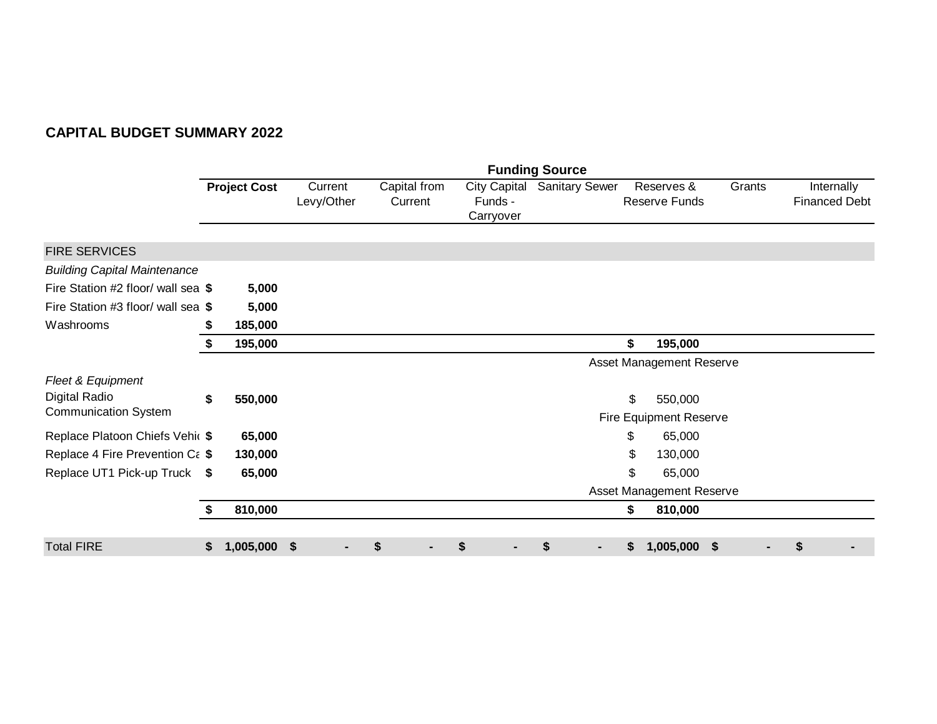|                                     |    |                     |                       |                         |                                             | <b>Funding Source</b> |                             |        |                                    |
|-------------------------------------|----|---------------------|-----------------------|-------------------------|---------------------------------------------|-----------------------|-----------------------------|--------|------------------------------------|
|                                     |    | <b>Project Cost</b> | Current<br>Levy/Other | Capital from<br>Current | <b>City Capital</b><br>Funds -<br>Carryover | <b>Sanitary Sewer</b> | Reserves &<br>Reserve Funds | Grants | Internally<br><b>Financed Debt</b> |
| <b>FIRE SERVICES</b>                |    |                     |                       |                         |                                             |                       |                             |        |                                    |
| <b>Building Capital Maintenance</b> |    |                     |                       |                         |                                             |                       |                             |        |                                    |
| Fire Station #2 floor/ wall sea \$  |    | 5,000               |                       |                         |                                             |                       |                             |        |                                    |
| Fire Station #3 floor/ wall sea \$  |    | 5,000               |                       |                         |                                             |                       |                             |        |                                    |
| Washrooms                           | S  | 185,000             |                       |                         |                                             |                       |                             |        |                                    |
|                                     | \$ | 195,000             |                       |                         |                                             |                       | \$<br>195,000               |        |                                    |
|                                     |    |                     |                       |                         |                                             |                       | Asset Management Reserve    |        |                                    |
| Fleet & Equipment                   |    |                     |                       |                         |                                             |                       |                             |        |                                    |
| Digital Radio                       | \$ | 550,000             |                       |                         |                                             |                       | \$<br>550,000               |        |                                    |
| <b>Communication System</b>         |    |                     |                       |                         |                                             |                       | Fire Equipment Reserve      |        |                                    |
| Replace Platoon Chiefs Vehic \$     |    | 65,000              |                       |                         |                                             |                       | \$<br>65,000                |        |                                    |
| Replace 4 Fire Prevention Ca \$     |    | 130,000             |                       |                         |                                             |                       | 130,000<br>\$               |        |                                    |
| Replace UT1 Pick-up Truck \$        |    | 65,000              |                       |                         |                                             |                       | 65,000<br>\$                |        |                                    |
|                                     |    |                     |                       |                         |                                             |                       | Asset Management Reserve    |        |                                    |
|                                     |    | 810,000             |                       |                         |                                             |                       | \$<br>810,000               |        |                                    |
|                                     |    |                     |                       |                         |                                             |                       |                             |        |                                    |
| <b>Total FIRE</b>                   | \$ | 1,005,000 \$        |                       | \$                      | \$                                          | S                     | 1,005,000 \$<br>S           |        | \$                                 |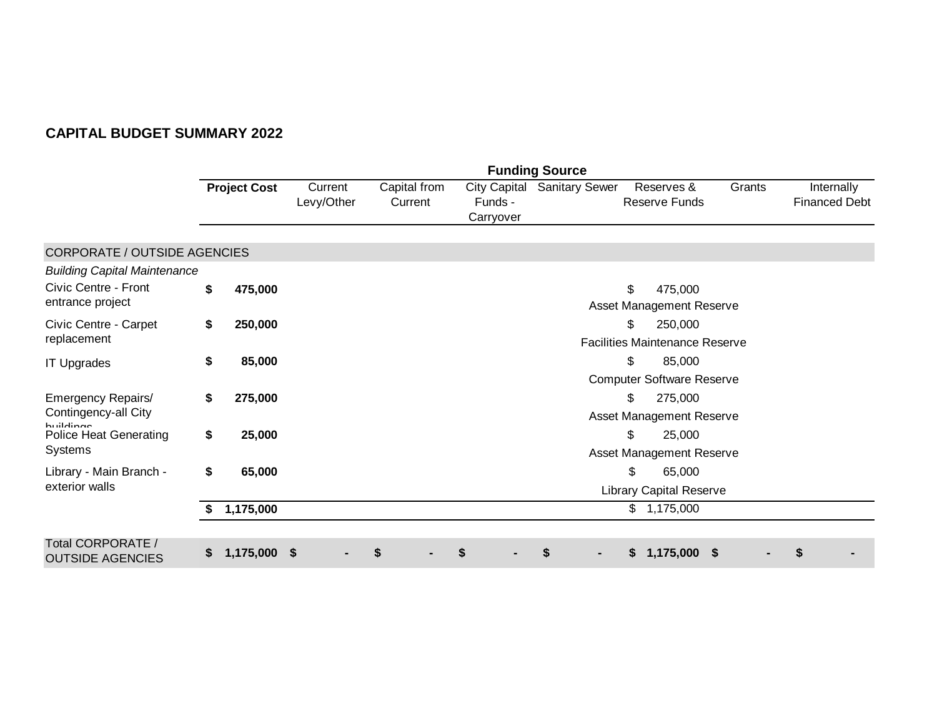|                                              |    |                     |                       |                         |                                             | <b>Funding Source</b> |                                    |        |                                    |  |  |
|----------------------------------------------|----|---------------------|-----------------------|-------------------------|---------------------------------------------|-----------------------|------------------------------------|--------|------------------------------------|--|--|
|                                              |    | <b>Project Cost</b> | Current<br>Levy/Other | Capital from<br>Current | <b>City Capital</b><br>Funds -<br>Carryover | <b>Sanitary Sewer</b> | Reserves &<br><b>Reserve Funds</b> | Grants | Internally<br><b>Financed Debt</b> |  |  |
| CORPORATE / OUTSIDE AGENCIES                 |    |                     |                       |                         |                                             |                       |                                    |        |                                    |  |  |
| <b>Building Capital Maintenance</b>          |    |                     |                       |                         |                                             |                       |                                    |        |                                    |  |  |
| Civic Centre - Front                         | \$ | 475,000             |                       |                         |                                             |                       | \$<br>475,000                      |        |                                    |  |  |
| entrance project                             |    |                     |                       |                         |                                             |                       | Asset Management Reserve           |        |                                    |  |  |
| Civic Centre - Carpet                        | \$ | 250,000             |                       |                         |                                             |                       | \$<br>250,000                      |        |                                    |  |  |
| replacement                                  |    |                     |                       |                         | <b>Facilities Maintenance Reserve</b>       |                       |                                    |        |                                    |  |  |
| <b>IT Upgrades</b>                           | \$ | 85,000              |                       |                         |                                             |                       | \$<br>85,000                       |        |                                    |  |  |
|                                              |    |                     |                       |                         |                                             |                       | <b>Computer Software Reserve</b>   |        |                                    |  |  |
| Emergency Repairs/                           | \$ | 275,000             |                       |                         |                                             |                       | \$<br>275,000                      |        |                                    |  |  |
| Contingency-all City<br><b>huildings</b>     |    |                     |                       |                         |                                             |                       | Asset Management Reserve           |        |                                    |  |  |
| <b>Police Heat Generating</b>                | \$ | 25,000              |                       |                         |                                             |                       | $\mathfrak{S}$<br>25,000           |        |                                    |  |  |
| Systems                                      |    |                     |                       |                         |                                             |                       | Asset Management Reserve           |        |                                    |  |  |
| Library - Main Branch -                      | \$ | 65,000              |                       |                         |                                             |                       | \$<br>65,000                       |        |                                    |  |  |
| exterior walls                               |    |                     |                       |                         |                                             |                       | <b>Library Capital Reserve</b>     |        |                                    |  |  |
|                                              | S  | 1,175,000           |                       |                         |                                             |                       | 1,175,000<br>$\mathfrak{S}^-$      |        |                                    |  |  |
|                                              |    |                     |                       |                         |                                             |                       |                                    |        |                                    |  |  |
| Total CORPORATE /<br><b>OUTSIDE AGENCIES</b> | S. | 1,175,000 \$        |                       | S                       | \$                                          | \$                    | 1,175,000<br>S.<br>5               |        | \$                                 |  |  |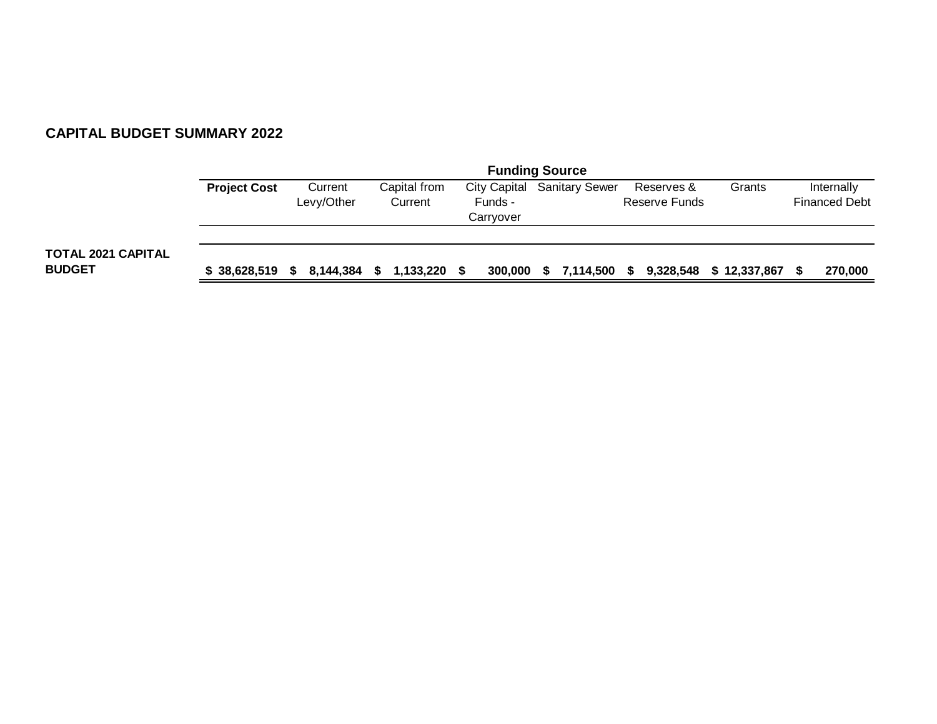|                                            | <b>Funding Source</b> |                       |                         |                      |                                    |                             |              |                                    |  |
|--------------------------------------------|-----------------------|-----------------------|-------------------------|----------------------|------------------------------------|-----------------------------|--------------|------------------------------------|--|
|                                            | <b>Project Cost</b>   | Current<br>Levy/Other | Capital from<br>Current | Funds -<br>Carryover | <b>City Capital Sanitary Sewer</b> | Reserves &<br>Reserve Funds | Grants       | Internally<br><b>Financed Debt</b> |  |
| <b>TOTAL 2021 CAPITAL</b><br><b>BUDGET</b> | \$38,628,519          | 8,144,384<br>S.       | 1,133,220<br>S.         | 300,000<br>S         | 7,114,500 \$<br>S.                 | 9,328,548                   | \$12,337,867 | 270,000                            |  |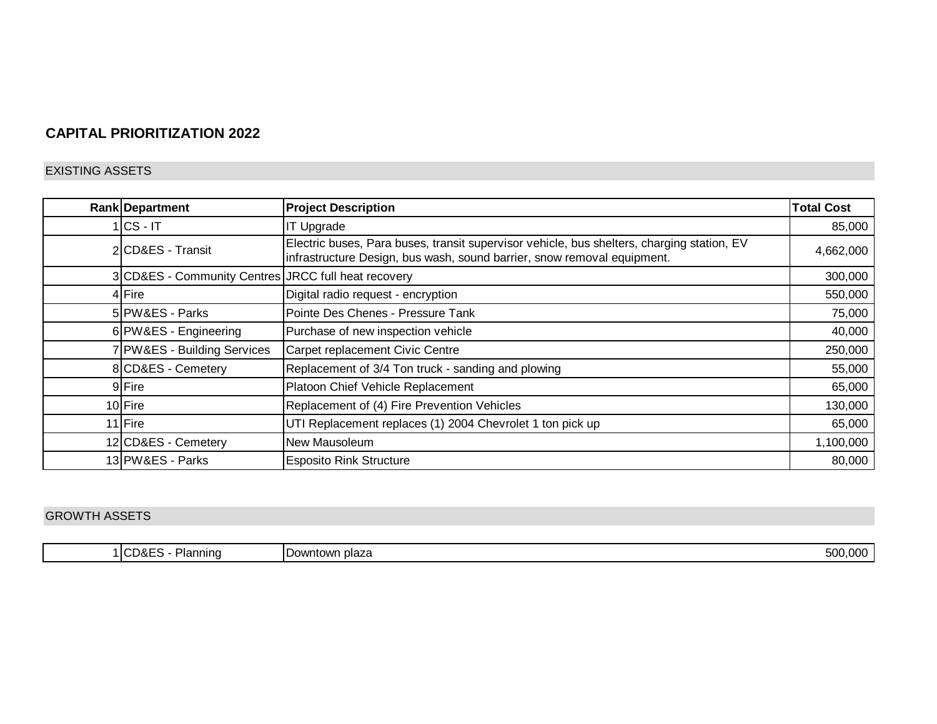## **CAPITAL PRIORITIZATION 2022**

#### EXISTING ASSETS

| <b>Rank Department</b>                              | <b>Project Description</b>                                                                                                                                            | <b>Total Cost</b> |
|-----------------------------------------------------|-----------------------------------------------------------------------------------------------------------------------------------------------------------------------|-------------------|
| $ CS - IT $                                         | <b>IT Upgrade</b>                                                                                                                                                     | 85,000            |
| 2 CD&ES - Transit                                   | Electric buses, Para buses, transit supervisor vehicle, bus shelters, charging station, EV<br>infrastructure Design, bus wash, sound barrier, snow removal equipment. | 4,662,000         |
| 3 CD&ES - Community Centres JRCC full heat recovery |                                                                                                                                                                       | 300,000           |
| 4 Fire                                              | Digital radio request - encryption                                                                                                                                    | 550,000           |
| 5 PW&ES - Parks                                     | Pointe Des Chenes - Pressure Tank                                                                                                                                     | 75,000            |
| 6 PW&ES - Engineering                               | Purchase of new inspection vehicle                                                                                                                                    | 40,000            |
| 7 PW&ES - Building Services                         | Carpet replacement Civic Centre                                                                                                                                       | 250,000           |
| 8 CD&ES - Cemetery                                  | Replacement of 3/4 Ton truck - sanding and plowing                                                                                                                    | 55,000            |
| 9Fire                                               | Platoon Chief Vehicle Replacement                                                                                                                                     | 65,000            |
| 10 Fire                                             | Replacement of (4) Fire Prevention Vehicles                                                                                                                           | 130,000           |
| 11 Fire                                             | UTI Replacement replaces (1) 2004 Chevrolet 1 ton pick up                                                                                                             | 65,000            |
| 12 CD&ES - Cemetery                                 | New Mausoleum                                                                                                                                                         | 1,100,000         |
| 13 PW&ES - Parks                                    | <b>Esposito Rink Structure</b>                                                                                                                                        | 80,000            |

### GROWTH ASSETS

| 1ICD&F <sup>r</sup><br>500,000<br>ı plaza<br>annınd<br>Downtown |
|-----------------------------------------------------------------|
|-----------------------------------------------------------------|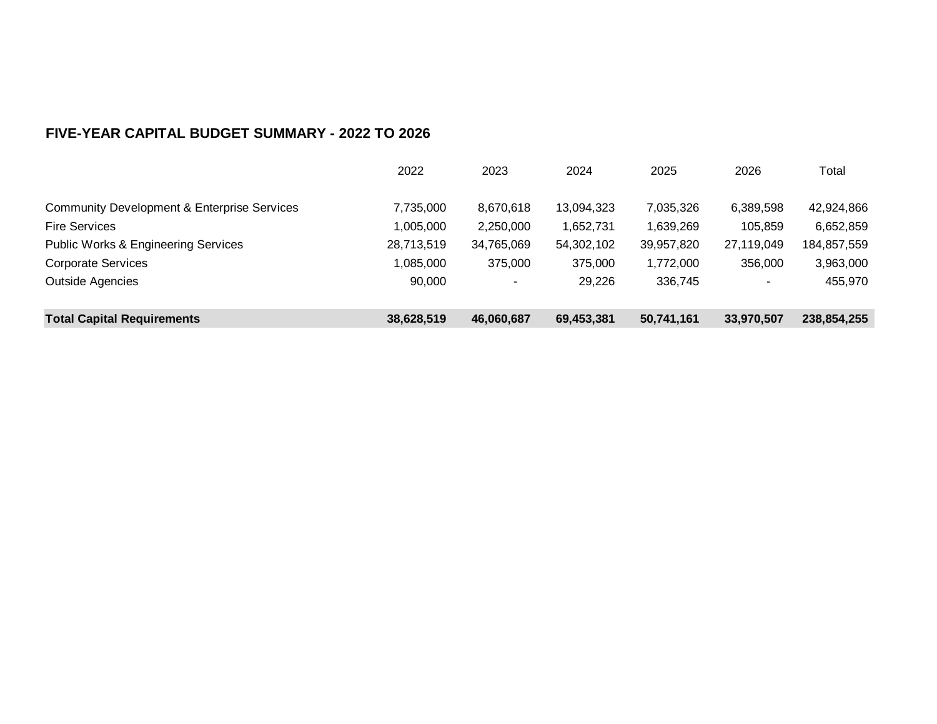|                                                        | 2022       | 2023                     | 2024       | 2025       | 2026       | Total       |
|--------------------------------------------------------|------------|--------------------------|------------|------------|------------|-------------|
|                                                        |            |                          |            |            |            |             |
| <b>Community Development &amp; Enterprise Services</b> | 7,735,000  | 8,670,618                | 13,094,323 | 7,035,326  | 6,389,598  | 42,924,866  |
| <b>Fire Services</b>                                   | 1,005,000  | 2,250,000                | 1,652,731  | 1,639,269  | 105,859    | 6,652,859   |
| <b>Public Works &amp; Engineering Services</b>         | 28,713,519 | 34,765,069               | 54,302,102 | 39,957,820 | 27,119,049 | 184,857,559 |
| <b>Corporate Services</b>                              | 1,085,000  | 375,000                  | 375,000    | 1,772,000  | 356,000    | 3,963,000   |
| <b>Outside Agencies</b>                                | 90,000     | $\overline{\phantom{a}}$ | 29,226     | 336,745    | ۰          | 455,970     |
|                                                        |            |                          |            |            |            |             |
| <b>Total Capital Requirements</b>                      | 38,628,519 | 46,060,687               | 69,453,381 | 50,741,161 | 33,970,507 | 238,854,255 |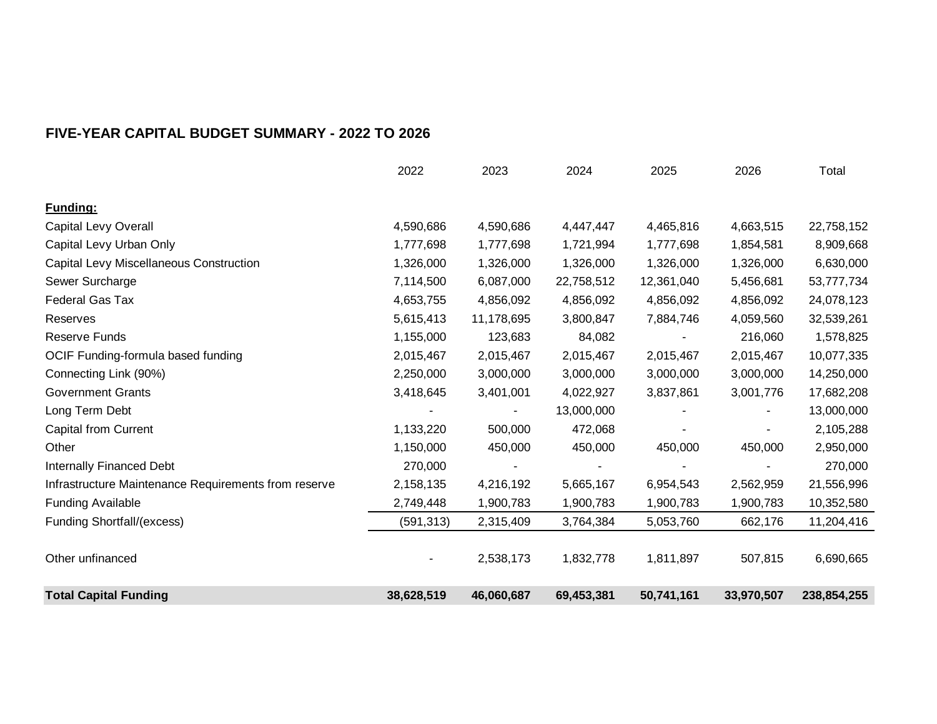|                                                      | 2022       | 2023       | 2024       | 2025       | 2026       | Total       |
|------------------------------------------------------|------------|------------|------------|------------|------------|-------------|
| Funding:                                             |            |            |            |            |            |             |
| Capital Levy Overall                                 | 4,590,686  | 4,590,686  | 4,447,447  | 4,465,816  | 4,663,515  | 22,758,152  |
| Capital Levy Urban Only                              | 1,777,698  | 1,777,698  | 1,721,994  | 1,777,698  | 1,854,581  | 8,909,668   |
| Capital Levy Miscellaneous Construction              | 1,326,000  | 1,326,000  | 1,326,000  | 1,326,000  | 1,326,000  | 6,630,000   |
| Sewer Surcharge                                      | 7,114,500  | 6,087,000  | 22,758,512 | 12,361,040 | 5,456,681  | 53,777,734  |
| <b>Federal Gas Tax</b>                               | 4,653,755  | 4,856,092  | 4,856,092  | 4,856,092  | 4,856,092  | 24,078,123  |
| Reserves                                             | 5,615,413  | 11,178,695 | 3,800,847  | 7,884,746  | 4,059,560  | 32,539,261  |
| <b>Reserve Funds</b>                                 | 1,155,000  | 123,683    | 84,082     |            | 216,060    | 1,578,825   |
| OCIF Funding-formula based funding                   | 2,015,467  | 2,015,467  | 2,015,467  | 2,015,467  | 2,015,467  | 10,077,335  |
| Connecting Link (90%)                                | 2,250,000  | 3,000,000  | 3,000,000  | 3,000,000  | 3,000,000  | 14,250,000  |
| <b>Government Grants</b>                             | 3,418,645  | 3,401,001  | 4,022,927  | 3,837,861  | 3,001,776  | 17,682,208  |
| Long Term Debt                                       |            |            | 13,000,000 |            |            | 13,000,000  |
| <b>Capital from Current</b>                          | 1,133,220  | 500,000    | 472,068    |            |            | 2,105,288   |
| Other                                                | 1,150,000  | 450,000    | 450,000    | 450,000    | 450,000    | 2,950,000   |
| <b>Internally Financed Debt</b>                      | 270,000    |            |            |            |            | 270,000     |
| Infrastructure Maintenance Requirements from reserve | 2,158,135  | 4,216,192  | 5,665,167  | 6,954,543  | 2,562,959  | 21,556,996  |
| <b>Funding Available</b>                             | 2,749,448  | 1,900,783  | 1,900,783  | 1,900,783  | 1,900,783  | 10,352,580  |
| Funding Shortfall/(excess)                           | (591, 313) | 2,315,409  | 3,764,384  | 5,053,760  | 662,176    | 11,204,416  |
| Other unfinanced                                     |            | 2,538,173  | 1,832,778  | 1,811,897  | 507,815    | 6,690,665   |
| <b>Total Capital Funding</b>                         | 38,628,519 | 46,060,687 | 69,453,381 | 50,741,161 | 33,970,507 | 238,854,255 |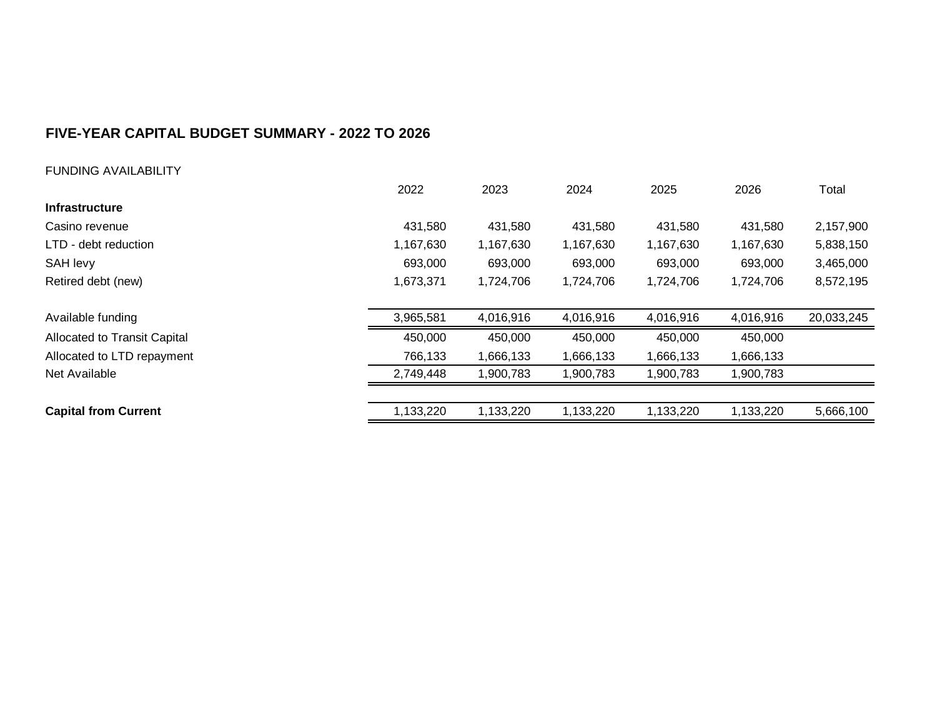FUNDING AVAILABILITY

|                              | 2022      | 2023      | 2024      | 2025      | 2026      | Total      |
|------------------------------|-----------|-----------|-----------|-----------|-----------|------------|
| <b>Infrastructure</b>        |           |           |           |           |           |            |
| Casino revenue               | 431,580   | 431,580   | 431,580   | 431,580   | 431,580   | 2,157,900  |
| LTD - debt reduction         | 1,167,630 | 1,167,630 | 1,167,630 | 1,167,630 | 1,167,630 | 5,838,150  |
| SAH levy                     | 693,000   | 693,000   | 693,000   | 693,000   | 693,000   | 3,465,000  |
| Retired debt (new)           | 1,673,371 | 1,724,706 | 1,724,706 | 1,724,706 | 1,724,706 | 8,572,195  |
|                              |           |           |           |           |           |            |
| Available funding            | 3,965,581 | 4,016,916 | 4,016,916 | 4,016,916 | 4,016,916 | 20,033,245 |
| Allocated to Transit Capital | 450,000   | 450,000   | 450,000   | 450,000   | 450,000   |            |
| Allocated to LTD repayment   | 766,133   | 1,666,133 | 1,666,133 | 1,666,133 | 1,666,133 |            |
| Net Available                | 2,749,448 | 1,900,783 | 1,900,783 | 1,900,783 | 1,900,783 |            |
|                              |           |           |           |           |           |            |
| <b>Capital from Current</b>  | 1,133,220 | 1,133,220 | 1,133,220 | 1,133,220 | 1,133,220 | 5,666,100  |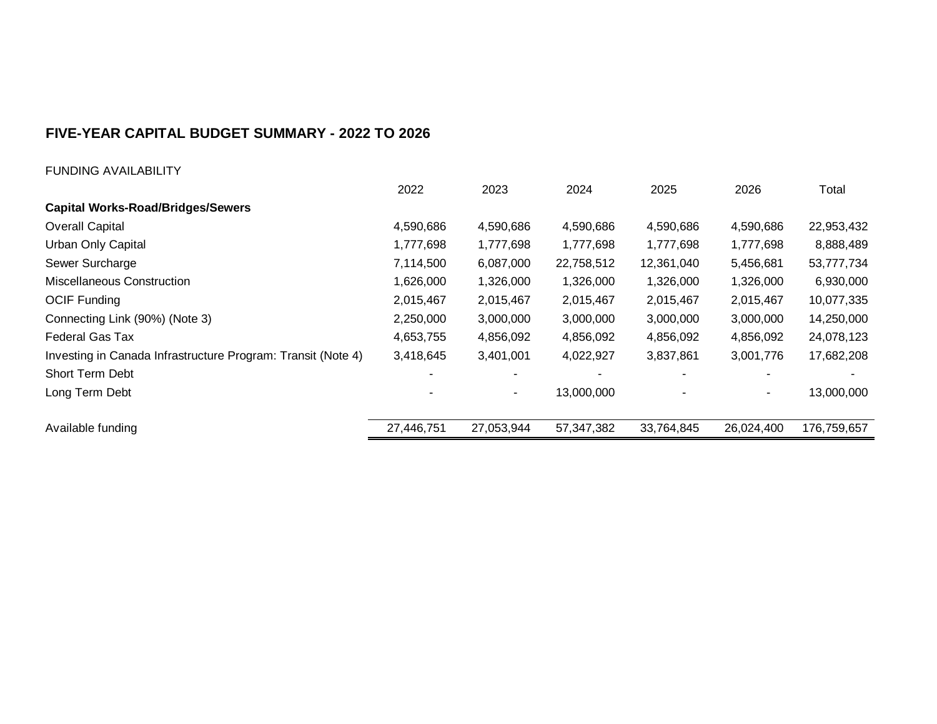| <b>FUNDING AVAILABILITY</b> |
|-----------------------------|
|-----------------------------|

|                                                              | 2022       | 2023       | 2024       | 2025       | 2026       | Total       |
|--------------------------------------------------------------|------------|------------|------------|------------|------------|-------------|
| <b>Capital Works-Road/Bridges/Sewers</b>                     |            |            |            |            |            |             |
| <b>Overall Capital</b>                                       | 4,590,686  | 4,590,686  | 4,590,686  | 4,590,686  | 4,590,686  | 22,953,432  |
| Urban Only Capital                                           | 1,777,698  | 1,777,698  | 1,777,698  | 1,777,698  | 1,777,698  | 8,888,489   |
| Sewer Surcharge                                              | 7,114,500  | 6,087,000  | 22,758,512 | 12,361,040 | 5,456,681  | 53,777,734  |
| <b>Miscellaneous Construction</b>                            | 1,626,000  | 1,326,000  | 1,326,000  | 1,326,000  | 1,326,000  | 6,930,000   |
| <b>OCIF Funding</b>                                          | 2,015,467  | 2,015,467  | 2,015,467  | 2,015,467  | 2,015,467  | 10,077,335  |
| Connecting Link (90%) (Note 3)                               | 2,250,000  | 3,000,000  | 3,000,000  | 3,000,000  | 3,000,000  | 14,250,000  |
| <b>Federal Gas Tax</b>                                       | 4,653,755  | 4,856,092  | 4,856,092  | 4,856,092  | 4,856,092  | 24,078,123  |
| Investing in Canada Infrastructure Program: Transit (Note 4) | 3,418,645  | 3,401,001  | 4,022,927  | 3,837,861  | 3,001,776  | 17,682,208  |
| Short Term Debt                                              |            |            |            |            |            |             |
| Long Term Debt                                               |            | ۰          | 13,000,000 |            |            | 13,000,000  |
| Available funding                                            | 27,446,751 | 27,053,944 | 57,347,382 | 33,764,845 | 26,024,400 | 176,759,657 |
|                                                              |            |            |            |            |            |             |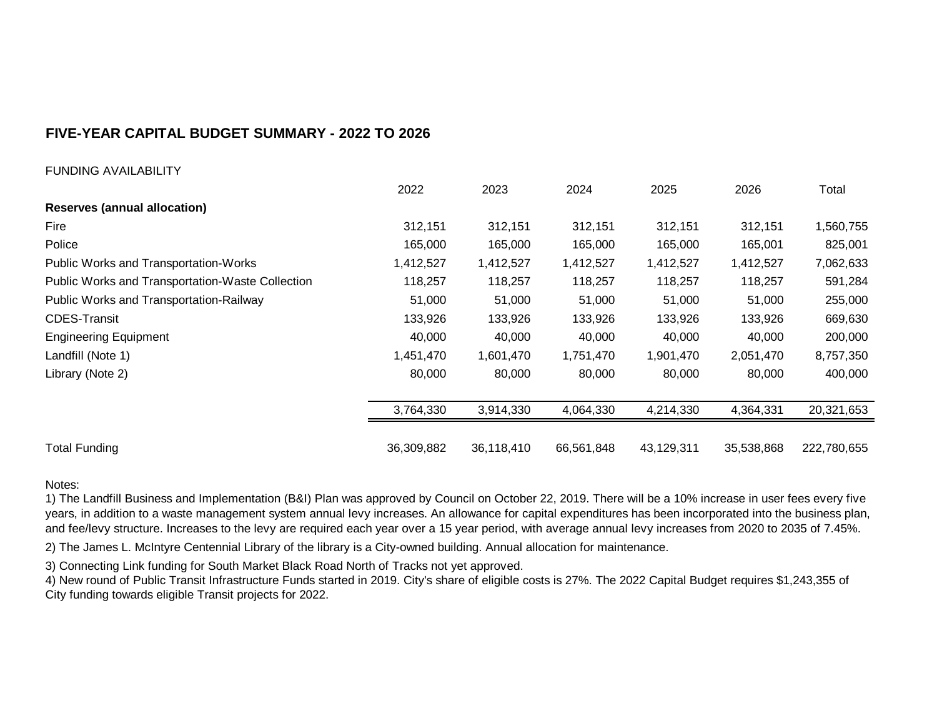#### FUNDING AVAILABILITY

|                                                  | 2022       | 2023       | 2024       | 2025       | 2026       | Total       |
|--------------------------------------------------|------------|------------|------------|------------|------------|-------------|
| <b>Reserves (annual allocation)</b>              |            |            |            |            |            |             |
| Fire                                             | 312,151    | 312,151    | 312,151    | 312,151    | 312,151    | 1,560,755   |
| Police                                           | 165,000    | 165,000    | 165,000    | 165,000    | 165,001    | 825,001     |
| Public Works and Transportation-Works            | 1,412,527  | 1,412,527  | 1,412,527  | 1,412,527  | 1,412,527  | 7,062,633   |
| Public Works and Transportation-Waste Collection | 118,257    | 118,257    | 118,257    | 118,257    | 118,257    | 591,284     |
| Public Works and Transportation-Railway          | 51,000     | 51,000     | 51,000     | 51,000     | 51,000     | 255,000     |
| <b>CDES-Transit</b>                              | 133,926    | 133,926    | 133,926    | 133,926    | 133,926    | 669,630     |
| <b>Engineering Equipment</b>                     | 40,000     | 40,000     | 40,000     | 40,000     | 40,000     | 200,000     |
| Landfill (Note 1)                                | 1,451,470  | 1,601,470  | 1,751,470  | 1,901,470  | 2,051,470  | 8,757,350   |
| Library (Note 2)                                 | 80,000     | 80,000     | 80,000     | 80,000     | 80,000     | 400,000     |
|                                                  | 3,764,330  | 3,914,330  | 4,064,330  | 4,214,330  | 4,364,331  | 20,321,653  |
| <b>Total Funding</b>                             | 36,309,882 | 36,118,410 | 66,561,848 | 43,129,311 | 35,538,868 | 222,780,655 |

#### Notes:

1) The Landfill Business and Implementation (B&I) Plan was approved by Council on October 22, 2019. There will be a 10% increase in user fees every five years, in addition to a waste management system annual levy increases. An allowance for capital expenditures has been incorporated into the business plan, and fee/levy structure. Increases to the levy are required each year over a 15 year period, with average annual levy increases from 2020 to 2035 of 7.45%.

2) The James L. McIntyre Centennial Library of the library is a City-owned building. Annual allocation for maintenance.

3) Connecting Link funding for South Market Black Road North of Tracks not yet approved.

4) New round of Public Transit Infrastructure Funds started in 2019. City's share of eligible costs is 27%. The 2022 Capital Budget requires \$1,243,355 of City funding towards eligible Transit projects for 2022.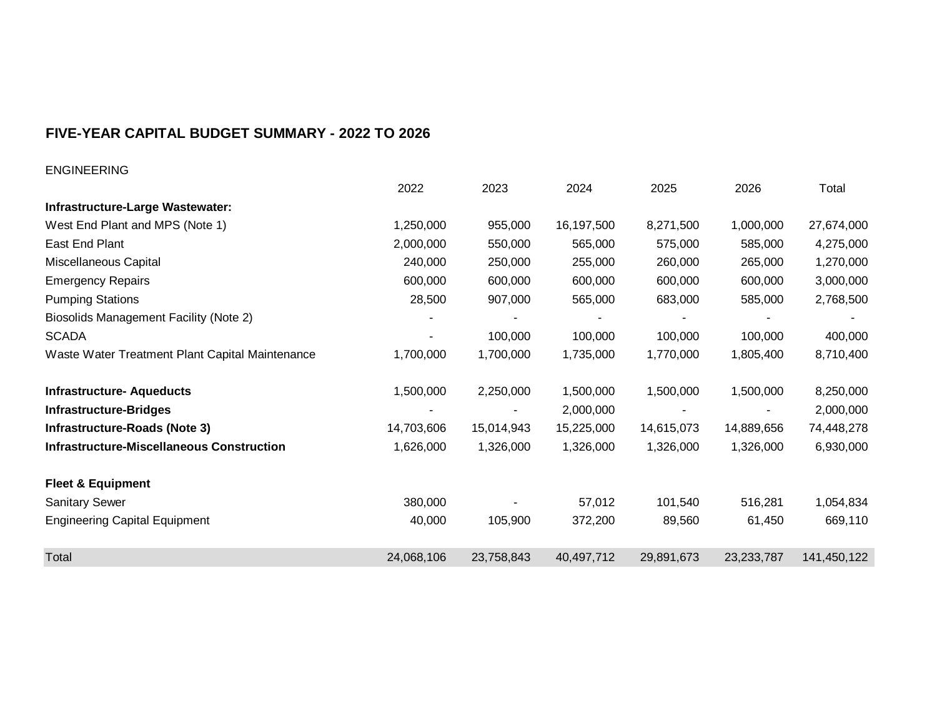| <b>ENGINEERING</b>                               |            |            |            |            |            |             |
|--------------------------------------------------|------------|------------|------------|------------|------------|-------------|
|                                                  | 2022       | 2023       | 2024       | 2025       | 2026       | Total       |
| Infrastructure-Large Wastewater:                 |            |            |            |            |            |             |
| West End Plant and MPS (Note 1)                  | 1,250,000  | 955,000    | 16,197,500 | 8,271,500  | 1,000,000  | 27,674,000  |
| East End Plant                                   | 2,000,000  | 550,000    | 565,000    | 575,000    | 585,000    | 4,275,000   |
| Miscellaneous Capital                            | 240,000    | 250,000    | 255,000    | 260,000    | 265,000    | 1,270,000   |
| <b>Emergency Repairs</b>                         | 600,000    | 600,000    | 600,000    | 600,000    | 600,000    | 3,000,000   |
| <b>Pumping Stations</b>                          | 28,500     | 907,000    | 565,000    | 683,000    | 585,000    | 2,768,500   |
| <b>Biosolids Management Facility (Note 2)</b>    |            |            |            |            | -          |             |
| <b>SCADA</b>                                     |            | 100,000    | 100,000    | 100,000    | 100,000    | 400,000     |
| Waste Water Treatment Plant Capital Maintenance  | 1,700,000  | 1,700,000  | 1,735,000  | 1,770,000  | 1,805,400  | 8,710,400   |
|                                                  |            |            |            |            |            |             |
| <b>Infrastructure- Aqueducts</b>                 | 1,500,000  | 2,250,000  | 1,500,000  | 1,500,000  | 1,500,000  | 8,250,000   |
| <b>Infrastructure-Bridges</b>                    |            |            | 2,000,000  |            |            | 2,000,000   |
| Infrastructure-Roads (Note 3)                    | 14,703,606 | 15,014,943 | 15,225,000 | 14,615,073 | 14,889,656 | 74,448,278  |
| <b>Infrastructure-Miscellaneous Construction</b> | 1,626,000  | 1,326,000  | 1,326,000  | 1,326,000  | 1,326,000  | 6,930,000   |
| <b>Fleet &amp; Equipment</b>                     |            |            |            |            |            |             |
| <b>Sanitary Sewer</b>                            | 380,000    |            | 57,012     | 101,540    | 516,281    | 1,054,834   |
| <b>Engineering Capital Equipment</b>             | 40,000     | 105,900    | 372,200    | 89,560     | 61,450     | 669,110     |
|                                                  |            |            |            |            |            |             |
| Total                                            | 24,068,106 | 23,758,843 | 40,497,712 | 29,891,673 | 23,233,787 | 141,450,122 |
|                                                  |            |            |            |            |            |             |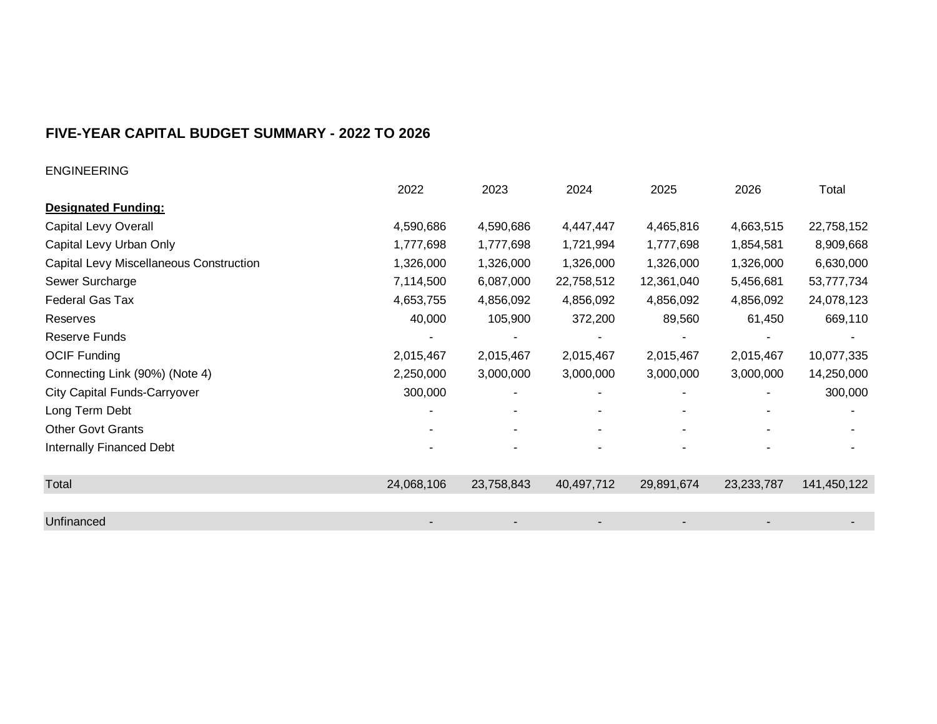| <b>ENGINEERING</b>                      |            |            |                          |            |              |             |
|-----------------------------------------|------------|------------|--------------------------|------------|--------------|-------------|
|                                         | 2022       | 2023       | 2024                     | 2025       | 2026         | Total       |
| <b>Designated Funding:</b>              |            |            |                          |            |              |             |
| Capital Levy Overall                    | 4,590,686  | 4,590,686  | 4,447,447                | 4,465,816  | 4,663,515    | 22,758,152  |
| Capital Levy Urban Only                 | 1,777,698  | 1,777,698  | 1,721,994                | 1,777,698  | 1,854,581    | 8,909,668   |
| Capital Levy Miscellaneous Construction | 1,326,000  | 1,326,000  | 1,326,000                | 1,326,000  | 1,326,000    | 6,630,000   |
| Sewer Surcharge                         | 7,114,500  | 6,087,000  | 22,758,512               | 12,361,040 | 5,456,681    | 53,777,734  |
| <b>Federal Gas Tax</b>                  | 4,653,755  | 4,856,092  | 4,856,092                | 4,856,092  | 4,856,092    | 24,078,123  |
| Reserves                                | 40,000     | 105,900    | 372,200                  | 89,560     | 61,450       | 669,110     |
| Reserve Funds                           |            |            |                          |            |              |             |
| <b>OCIF Funding</b>                     | 2,015,467  | 2,015,467  | 2,015,467                | 2,015,467  | 2,015,467    | 10,077,335  |
| Connecting Link (90%) (Note 4)          | 2,250,000  | 3,000,000  | 3,000,000                | 3,000,000  | 3,000,000    | 14,250,000  |
| <b>City Capital Funds-Carryover</b>     | 300,000    |            |                          |            |              | 300,000     |
| Long Term Debt                          |            |            | $\overline{\phantom{a}}$ |            |              |             |
| <b>Other Govt Grants</b>                |            |            | $\blacksquare$           | ٠          |              |             |
| Internally Financed Debt                |            |            |                          |            |              |             |
|                                         |            |            |                          |            |              |             |
| Total                                   | 24,068,106 | 23,758,843 | 40,497,712               | 29,891,674 | 23, 233, 787 | 141,450,122 |
|                                         |            |            |                          |            |              |             |
| Unfinanced                              |            |            |                          |            |              |             |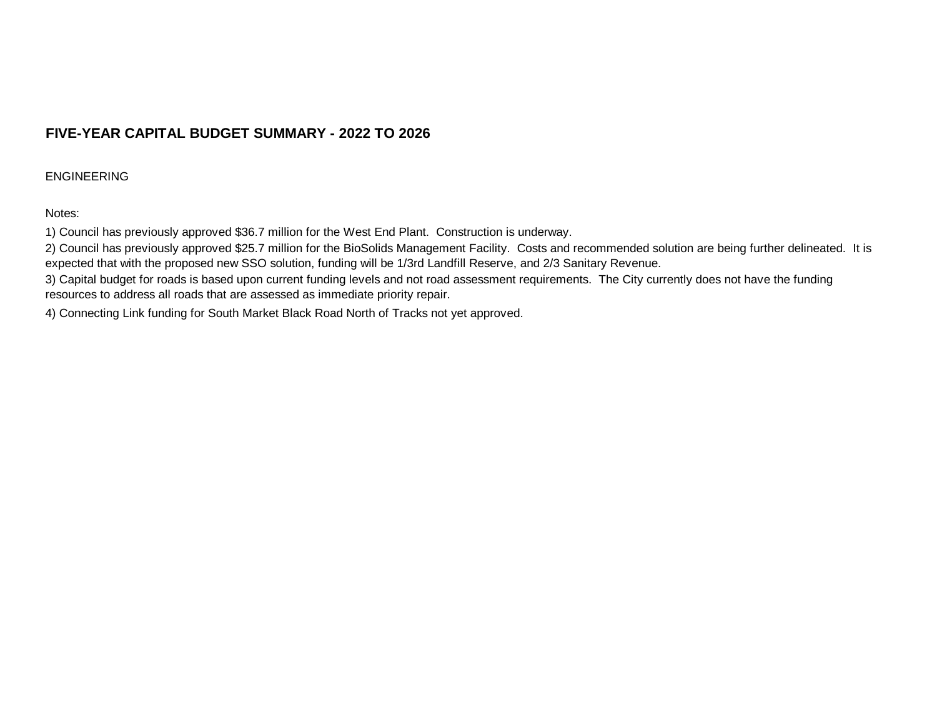#### ENGINEERING

#### Notes:

1) Council has previously approved \$36.7 million for the West End Plant. Construction is underway.

2) Council has previously approved \$25.7 million for the BioSolids Management Facility. Costs and recommended solution are being further delineated. It is expected that with the proposed new SSO solution, funding will be 1/3rd Landfill Reserve, and 2/3 Sanitary Revenue.

3) Capital budget for roads is based upon current funding levels and not road assessment requirements. The City currently does not have the funding resources to address all roads that are assessed as immediate priority repair.

4) Connecting Link funding for South Market Black Road North of Tracks not yet approved.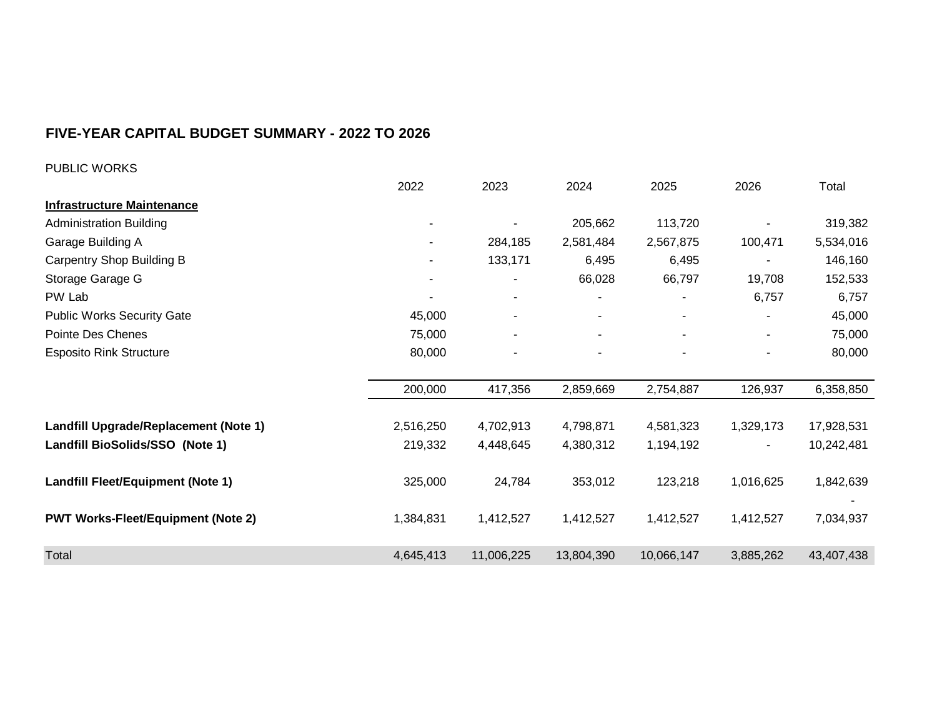| PUBLIC WORKS                              |           |            |                |            |                |            |
|-------------------------------------------|-----------|------------|----------------|------------|----------------|------------|
|                                           | 2022      | 2023       | 2024           | 2025       | 2026           | Total      |
| <b>Infrastructure Maintenance</b>         |           |            |                |            |                |            |
| <b>Administration Building</b>            |           |            | 205,662        | 113,720    |                | 319,382    |
| Garage Building A                         |           | 284,185    | 2,581,484      | 2,567,875  | 100,471        | 5,534,016  |
| <b>Carpentry Shop Building B</b>          |           | 133,171    | 6,495          | 6,495      |                | 146,160    |
| Storage Garage G                          |           |            | 66,028         | 66,797     | 19,708         | 152,533    |
| PW Lab                                    |           |            |                |            | 6,757          | 6,757      |
| <b>Public Works Security Gate</b>         | 45,000    |            |                |            |                | 45,000     |
| Pointe Des Chenes                         | 75,000    |            | $\blacksquare$ | ٠          | $\blacksquare$ | 75,000     |
| <b>Esposito Rink Structure</b>            | 80,000    |            |                |            |                | 80,000     |
|                                           | 200,000   | 417,356    | 2,859,669      | 2,754,887  | 126,937        | 6,358,850  |
| Landfill Upgrade/Replacement (Note 1)     | 2,516,250 | 4,702,913  | 4,798,871      | 4,581,323  | 1,329,173      | 17,928,531 |
| Landfill BioSolids/SSO (Note 1)           | 219,332   | 4,448,645  | 4,380,312      | 1,194,192  |                | 10,242,481 |
| Landfill Fleet/Equipment (Note 1)         | 325,000   | 24,784     | 353,012        | 123,218    | 1,016,625      | 1,842,639  |
| <b>PWT Works-Fleet/Equipment (Note 2)</b> | 1,384,831 | 1,412,527  | 1,412,527      | 1,412,527  | 1,412,527      | 7,034,937  |
| Total                                     | 4,645,413 | 11,006,225 | 13,804,390     | 10,066,147 | 3,885,262      | 43,407,438 |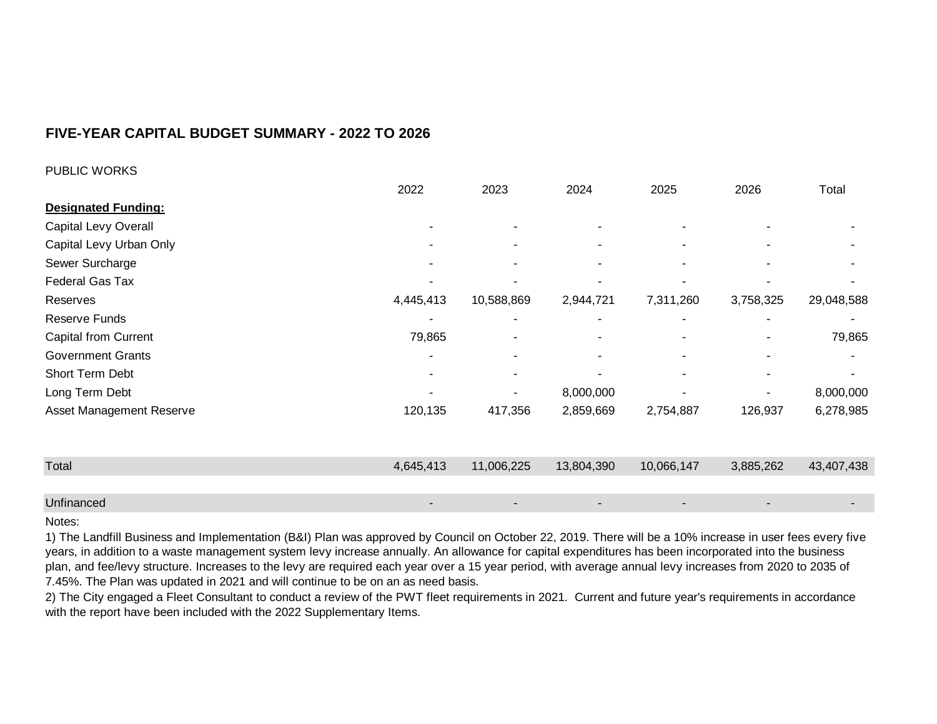| <b>PUBLIC WORKS</b>         |                          |                |                          |            |                          |            |
|-----------------------------|--------------------------|----------------|--------------------------|------------|--------------------------|------------|
|                             | 2022                     | 2023           | 2024                     | 2025       | 2026                     | Total      |
| <b>Designated Funding:</b>  |                          |                |                          |            |                          |            |
| Capital Levy Overall        | $\overline{\phantom{a}}$ | $\blacksquare$ | $\sim$                   | ٠          |                          |            |
| Capital Levy Urban Only     | ۰                        |                | $\sim$                   | ۰.         |                          |            |
| Sewer Surcharge             | ۰                        | ۰              | $\sim$                   | ٠          | $\overline{\phantom{a}}$ |            |
| <b>Federal Gas Tax</b>      |                          |                | $\overline{\phantom{a}}$ |            |                          |            |
| Reserves                    | 4,445,413                | 10,588,869     | 2,944,721                | 7,311,260  | 3,758,325                | 29,048,588 |
| Reserve Funds               | ۰                        |                | $\blacksquare$           |            |                          |            |
| <b>Capital from Current</b> | 79,865                   |                | ۰                        | ٠          | $\blacksquare$           | 79,865     |
| <b>Government Grants</b>    | ۰                        |                | $\blacksquare$           | ۰          | ٠                        |            |
| Short Term Debt             | ۰                        |                |                          | ۰          |                          |            |
| Long Term Debt              |                          |                | 8,000,000                |            |                          | 8,000,000  |
| Asset Management Reserve    | 120,135                  | 417,356        | 2,859,669                | 2,754,887  | 126,937                  | 6,278,985  |
|                             |                          |                |                          |            |                          |            |
| Total                       | 4,645,413                | 11,006,225     | 13,804,390               | 10,066,147 | 3,885,262                | 43,407,438 |
|                             |                          |                |                          |            |                          |            |
| Unfinanced                  |                          |                |                          |            |                          |            |

#### Notes:

1) The Landfill Business and Implementation (B&I) Plan was approved by Council on October 22, 2019. There will be a 10% increase in user fees every five years, in addition to a waste management system levy increase annually. An allowance for capital expenditures has been incorporated into the business plan, and fee/levy structure. Increases to the levy are required each year over a 15 year period, with average annual levy increases from 2020 to 2035 of 7.45%. The Plan was updated in 2021 and will continue to be on an as need basis.

2) The City engaged a Fleet Consultant to conduct a review of the PWT fleet requirements in 2021. Current and future year's requirements in accordance with the report have been included with the 2022 Supplementary Items.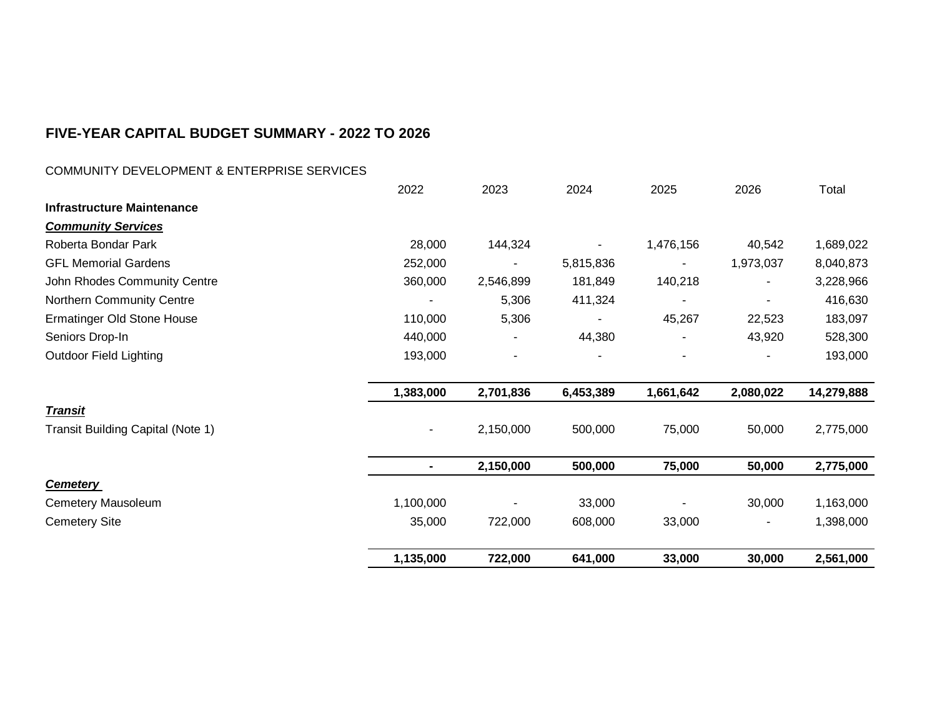### COMMUNITY DEVELOPMENT & ENTERPRISE SERVICES

|                                   | 2022      | 2023      | 2024           | 2025      | 2026           | Total      |
|-----------------------------------|-----------|-----------|----------------|-----------|----------------|------------|
| <b>Infrastructure Maintenance</b> |           |           |                |           |                |            |
| <b>Community Services</b>         |           |           |                |           |                |            |
| Roberta Bondar Park               | 28,000    | 144,324   |                | 1,476,156 | 40,542         | 1,689,022  |
| <b>GFL Memorial Gardens</b>       | 252,000   |           | 5,815,836      |           | 1,973,037      | 8,040,873  |
| John Rhodes Community Centre      | 360,000   | 2,546,899 | 181,849        | 140,218   | $\blacksquare$ | 3,228,966  |
| Northern Community Centre         |           | 5,306     | 411,324        |           |                | 416,630    |
| Ermatinger Old Stone House        | 110,000   | 5,306     | $\blacksquare$ | 45,267    | 22,523         | 183,097    |
| Seniors Drop-In                   | 440,000   | ٠         | 44,380         |           | 43,920         | 528,300    |
| <b>Outdoor Field Lighting</b>     | 193,000   | ٠         |                |           |                | 193,000    |
|                                   |           |           |                |           |                |            |
|                                   | 1,383,000 | 2,701,836 | 6,453,389      | 1,661,642 | 2,080,022      | 14,279,888 |
| <u>Transit</u>                    |           |           |                |           |                |            |
| Transit Building Capital (Note 1) |           | 2,150,000 | 500,000        | 75,000    | 50,000         | 2,775,000  |
|                                   |           |           |                |           |                |            |
|                                   |           | 2,150,000 | 500,000        | 75,000    | 50,000         | 2,775,000  |
| <b>Cemetery</b>                   |           |           |                |           |                |            |
| Cemetery Mausoleum                | 1,100,000 |           | 33,000         |           | 30,000         | 1,163,000  |
| <b>Cemetery Site</b>              | 35,000    | 722,000   | 608,000        | 33,000    |                | 1,398,000  |
|                                   |           |           |                |           |                |            |
|                                   | 1,135,000 | 722,000   | 641,000        | 33,000    | 30,000         | 2,561,000  |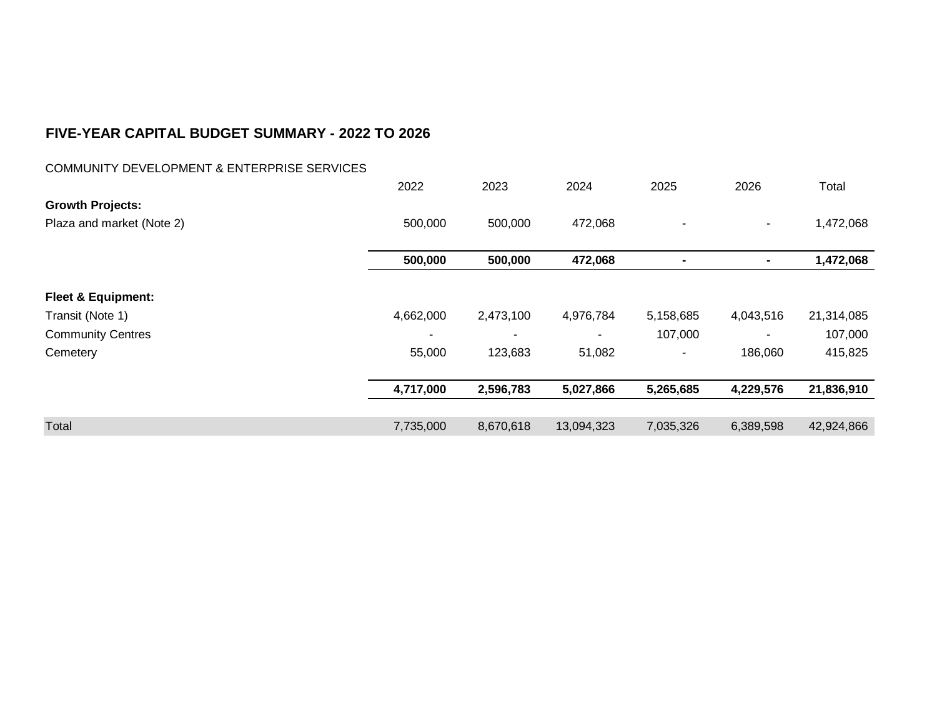### COMMUNITY DEVELOPMENT & ENTERPRISE SERVICES

|                               | 2022      | 2023      | 2024       | 2025      | 2026           | Total      |
|-------------------------------|-----------|-----------|------------|-----------|----------------|------------|
| <b>Growth Projects:</b>       |           |           |            |           |                |            |
| Plaza and market (Note 2)     | 500,000   | 500,000   | 472,068    |           | $\blacksquare$ | 1,472,068  |
|                               | 500,000   | 500,000   | 472,068    |           | $\blacksquare$ | 1,472,068  |
| <b>Fleet &amp; Equipment:</b> |           |           |            |           |                |            |
|                               | 4,662,000 |           |            |           |                |            |
| Transit (Note 1)              |           | 2,473,100 | 4,976,784  | 5,158,685 | 4,043,516      | 21,314,085 |
| <b>Community Centres</b>      |           | ٠         |            | 107,000   |                | 107,000    |
| Cemetery                      | 55,000    | 123,683   | 51,082     |           | 186,060        | 415,825    |
|                               | 4,717,000 | 2,596,783 | 5,027,866  | 5,265,685 | 4,229,576      | 21,836,910 |
|                               |           |           |            |           |                |            |
| Total                         | 7,735,000 | 8,670,618 | 13,094,323 | 7,035,326 | 6,389,598      | 42,924,866 |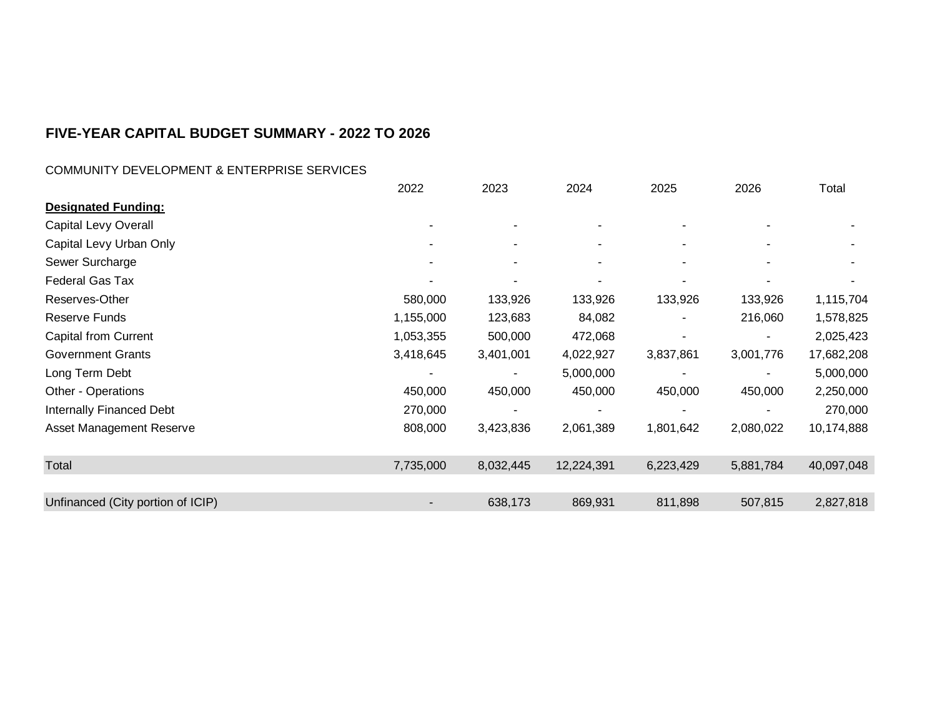### COMMUNITY DEVELOPMENT & ENTERPRISE SERVICES

|                                   | 2022      | 2023                     | 2024       | 2025      | 2026                     | Total      |
|-----------------------------------|-----------|--------------------------|------------|-----------|--------------------------|------------|
| <b>Designated Funding:</b>        |           |                          |            |           |                          |            |
| Capital Levy Overall              |           |                          |            |           |                          |            |
| Capital Levy Urban Only           |           | $\overline{\phantom{a}}$ | ۰          | ۰         | ٠                        |            |
| Sewer Surcharge                   |           | $\overline{\phantom{a}}$ | $\sim$     | ٠         | $\overline{\phantom{a}}$ |            |
| <b>Federal Gas Tax</b>            |           | ۰                        | ٠          |           |                          |            |
| Reserves-Other                    | 580,000   | 133,926                  | 133,926    | 133,926   | 133,926                  | 1,115,704  |
| Reserve Funds                     | 1,155,000 | 123,683                  | 84,082     |           | 216,060                  | 1,578,825  |
| <b>Capital from Current</b>       | 1,053,355 | 500,000                  | 472,068    |           | $\blacksquare$           | 2,025,423  |
| <b>Government Grants</b>          | 3,418,645 | 3,401,001                | 4,022,927  | 3,837,861 | 3,001,776                | 17,682,208 |
| Long Term Debt                    |           |                          | 5,000,000  |           |                          | 5,000,000  |
| Other - Operations                | 450,000   | 450,000                  | 450,000    | 450,000   | 450,000                  | 2,250,000  |
| <b>Internally Financed Debt</b>   | 270,000   |                          |            |           |                          | 270,000    |
| Asset Management Reserve          | 808,000   | 3,423,836                | 2,061,389  | 1,801,642 | 2,080,022                | 10,174,888 |
| Total                             | 7,735,000 | 8,032,445                | 12,224,391 | 6,223,429 | 5,881,784                | 40,097,048 |
|                                   |           |                          |            |           |                          |            |
| Unfinanced (City portion of ICIP) | ۰         | 638,173                  | 869,931    | 811,898   | 507,815                  | 2,827,818  |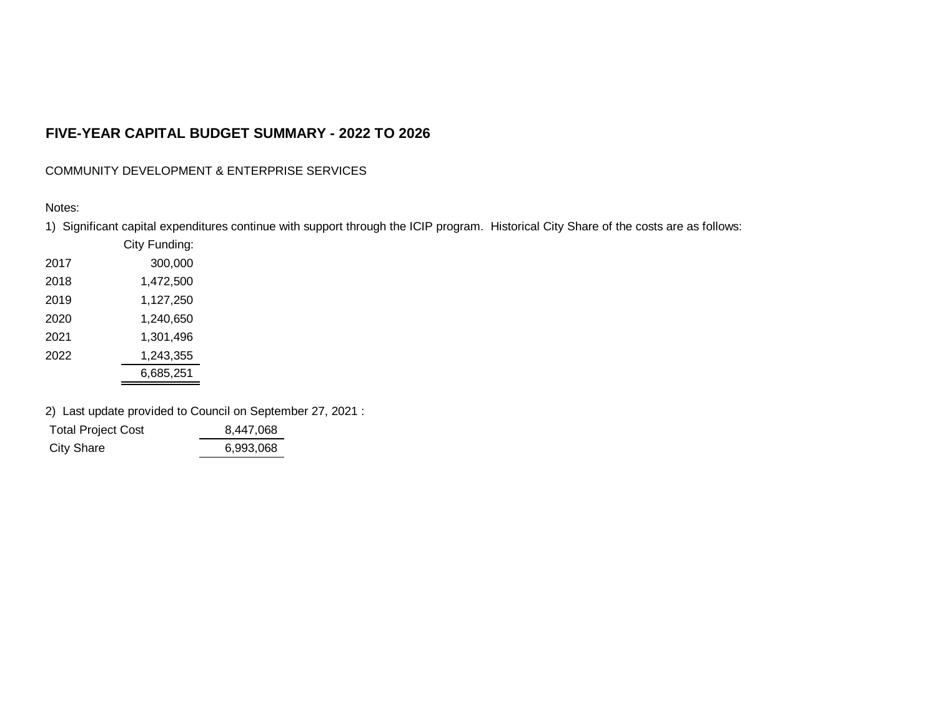COMMUNITY DEVELOPMENT & ENTERPRISE SERVICES

#### Notes:

1) Significant capital expenditures continue with support through the ICIP program. Historical City Share of the costs are as follows:

|      | City Funding: |
|------|---------------|
| 2017 | 300,000       |
| 2018 | 1,472,500     |
| 2019 | 1,127,250     |
| 2020 | 1,240,650     |
| 2021 | 1,301,496     |
| 2022 | 1,243,355     |
|      | 6,685,251     |

2) Last update provided to Council on September 27, 2021 :

| <b>Total Project Cost</b> | 8.447.068 |  |
|---------------------------|-----------|--|
| <b>City Share</b>         | 6,993,068 |  |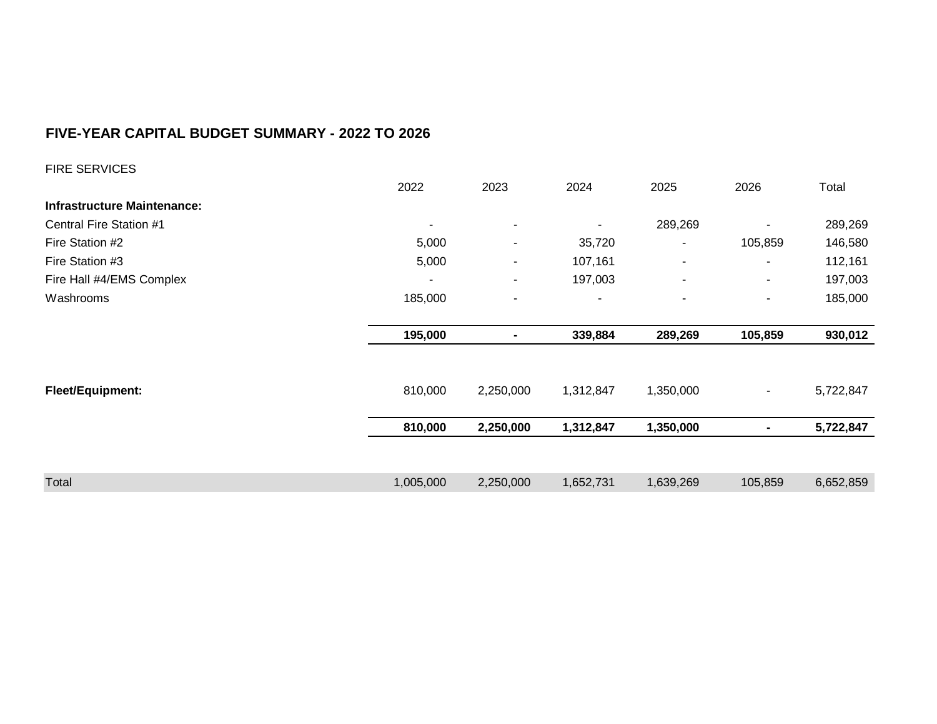| <b>FIRE SERVICES</b>               |                |                          |           |                          |                |           |
|------------------------------------|----------------|--------------------------|-----------|--------------------------|----------------|-----------|
|                                    | 2022           | 2023                     | 2024      | 2025                     | 2026           | Total     |
| <b>Infrastructure Maintenance:</b> |                |                          |           |                          |                |           |
| Central Fire Station #1            | $\blacksquare$ | $\blacksquare$           |           | 289,269                  |                | 289,269   |
| Fire Station #2                    | 5,000          | $\blacksquare$           | 35,720    |                          | 105,859        | 146,580   |
| Fire Station #3                    | 5,000          | $\blacksquare$           | 107,161   | $\sim$                   | ٠              | 112,161   |
| Fire Hall #4/EMS Complex           | ٠              | ٠                        | 197,003   | $\overline{\phantom{a}}$ | $\blacksquare$ | 197,003   |
| Washrooms                          | 185,000        | $\overline{\phantom{a}}$ | ٠         | $\overline{\phantom{a}}$ | $\overline{a}$ | 185,000   |
|                                    |                |                          |           |                          |                |           |
|                                    | 195,000        | $\blacksquare$           | 339,884   | 289,269                  | 105,859        | 930,012   |
|                                    |                |                          |           |                          |                |           |
|                                    |                |                          |           |                          |                |           |
| Fleet/Equipment:                   | 810,000        | 2,250,000                | 1,312,847 | 1,350,000                | $\blacksquare$ | 5,722,847 |
|                                    |                |                          |           |                          | $\blacksquare$ |           |
|                                    | 810,000        | 2,250,000                | 1,312,847 | 1,350,000                |                | 5,722,847 |
| Total                              | 1,005,000      | 2,250,000                | 1,652,731 | 1,639,269                | 105,859        | 6,652,859 |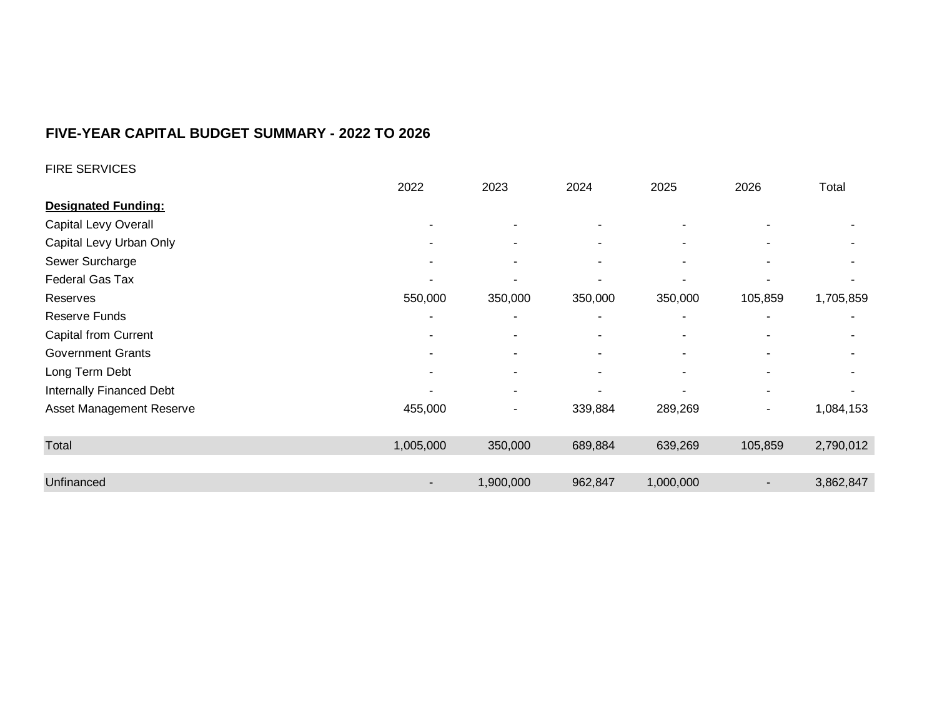| <b>FIRE SERVICES</b>        |                          |                          |                          |           |                          |           |
|-----------------------------|--------------------------|--------------------------|--------------------------|-----------|--------------------------|-----------|
|                             | 2022                     | 2023                     | 2024                     | 2025      | 2026                     | Total     |
| <b>Designated Funding:</b>  |                          |                          |                          |           |                          |           |
| Capital Levy Overall        | $\overline{\phantom{a}}$ | ٠                        | ٠                        |           | $\overline{\phantom{a}}$ |           |
| Capital Levy Urban Only     | $\overline{\phantom{0}}$ | ۰                        | $\sim$                   | ٠         | $\blacksquare$           |           |
| Sewer Surcharge             | $\blacksquare$           | ٠                        | $\overline{\phantom{a}}$ | ٠         | $\overline{\phantom{a}}$ |           |
| Federal Gas Tax             |                          | ۰                        | $\overline{\phantom{a}}$ |           |                          |           |
| Reserves                    | 550,000                  | 350,000                  | 350,000                  | 350,000   | 105,859                  | 1,705,859 |
| Reserve Funds               |                          | ۰                        | ٠                        |           | ۰                        |           |
| <b>Capital from Current</b> |                          | $\overline{\phantom{0}}$ | $\overline{\phantom{a}}$ | ٠         | ٠                        |           |
| <b>Government Grants</b>    |                          | ۰                        | $\blacksquare$           | ٠         | ٠                        |           |
| Long Term Debt              |                          |                          | $\overline{\phantom{a}}$ | ٠         | ۰                        |           |
| Internally Financed Debt    |                          |                          |                          |           | $\overline{\phantom{a}}$ |           |
| Asset Management Reserve    | 455,000                  | ۰                        | 339,884                  | 289,269   | $\blacksquare$           | 1,084,153 |
| Total                       | 1,005,000                | 350,000                  | 689,884                  | 639,269   | 105,859                  | 2,790,012 |
|                             |                          |                          |                          |           |                          |           |
| Unfinanced                  |                          | 1,900,000                | 962,847                  | 1,000,000 |                          | 3,862,847 |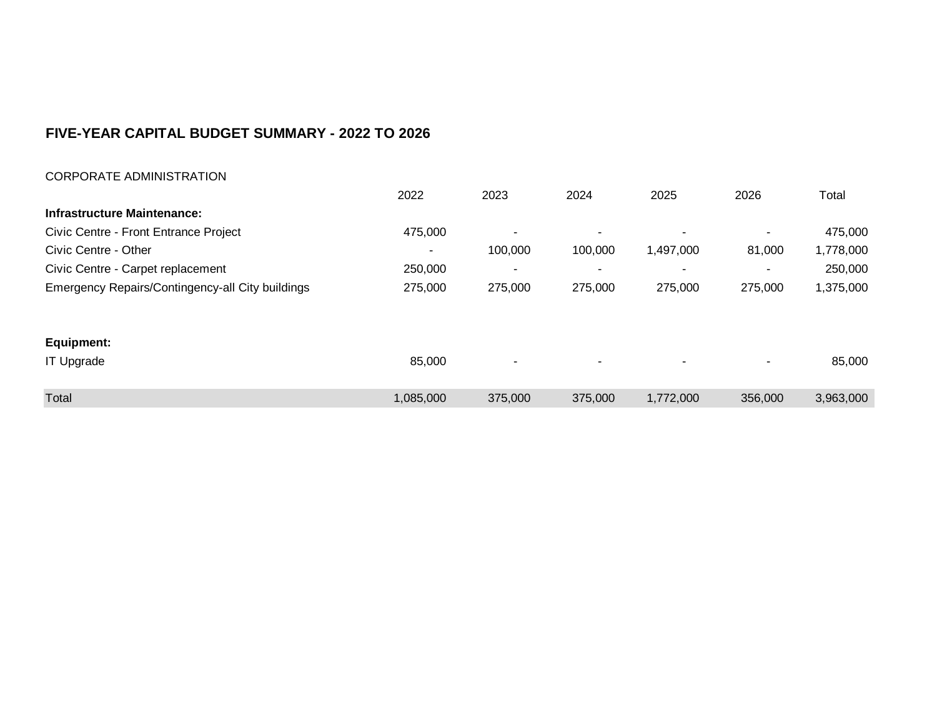| <b>CORPORATE ADMINISTRATION</b>                  |           |                          |         |           |         |           |
|--------------------------------------------------|-----------|--------------------------|---------|-----------|---------|-----------|
|                                                  | 2022      | 2023                     | 2024    | 2025      | 2026    | Total     |
| <b>Infrastructure Maintenance:</b>               |           |                          |         |           |         |           |
| Civic Centre - Front Entrance Project            | 475,000   | $\overline{\phantom{a}}$ | ٠       |           | ٠       | 475,000   |
| Civic Centre - Other                             |           | 100,000                  | 100,000 | 1,497,000 | 81,000  | 1,778,000 |
| Civic Centre - Carpet replacement                | 250,000   | $\overline{\phantom{a}}$ | ٠       |           |         | 250,000   |
| Emergency Repairs/Contingency-all City buildings | 275,000   | 275,000                  | 275,000 | 275,000   | 275,000 | 1,375,000 |
| Equipment:                                       |           |                          |         |           |         |           |
| <b>IT Upgrade</b>                                | 85,000    | $\overline{\phantom{a}}$ | ٠       |           | ۰       | 85,000    |
| Total                                            | 1,085,000 | 375,000                  | 375,000 | 1,772,000 | 356,000 | 3,963,000 |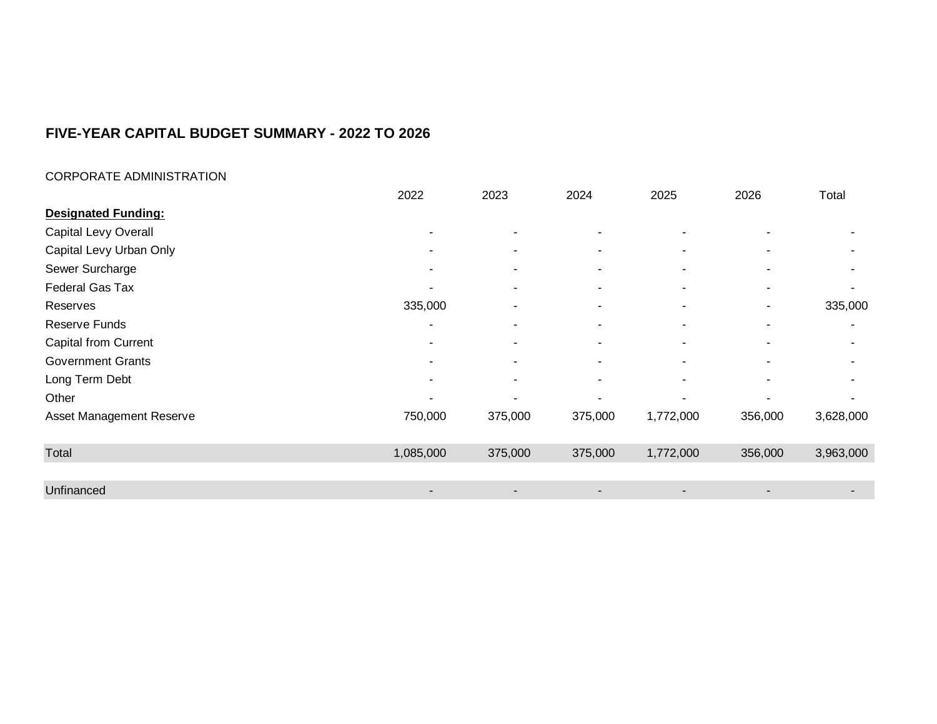#### CORPORATE ADMINISTRATION

|                            | 2022      | 2023                     | 2024                     | 2025      | 2026                     | Total     |
|----------------------------|-----------|--------------------------|--------------------------|-----------|--------------------------|-----------|
| <b>Designated Funding:</b> |           |                          |                          |           |                          |           |
| Capital Levy Overall       | ۰         | $\overline{\phantom{a}}$ | ٠                        |           | $\sim$                   |           |
| Capital Levy Urban Only    |           | $\overline{\phantom{0}}$ | $\overline{\phantom{a}}$ |           | $\sim$                   |           |
| Sewer Surcharge            |           |                          | ٠                        |           | ۰                        |           |
| Federal Gas Tax            |           |                          | ۰                        |           | $\overline{\phantom{0}}$ |           |
| Reserves                   | 335,000   | $\overline{\phantom{a}}$ | $\overline{\phantom{a}}$ |           | $\overline{\phantom{a}}$ | 335,000   |
| <b>Reserve Funds</b>       | ۰         | $\overline{\phantom{a}}$ | ٠                        |           | $\sim$                   | ۰         |
| Capital from Current       |           |                          | ۰                        |           | ٠                        |           |
| <b>Government Grants</b>   |           |                          | ۰                        |           | $\sim$                   |           |
| Long Term Debt             |           |                          | ۰                        |           | $\blacksquare$           |           |
| Other                      |           | $\overline{\phantom{a}}$ | ۰                        |           | ٠                        |           |
| Asset Management Reserve   | 750,000   | 375,000                  | 375,000                  | 1,772,000 | 356,000                  | 3,628,000 |
| Total                      | 1,085,000 | 375,000                  | 375,000                  | 1,772,000 | 356,000                  | 3,963,000 |
|                            |           |                          |                          |           |                          |           |
| Unfinanced                 |           | $\overline{\phantom{a}}$ | -                        |           | $\blacksquare$           |           |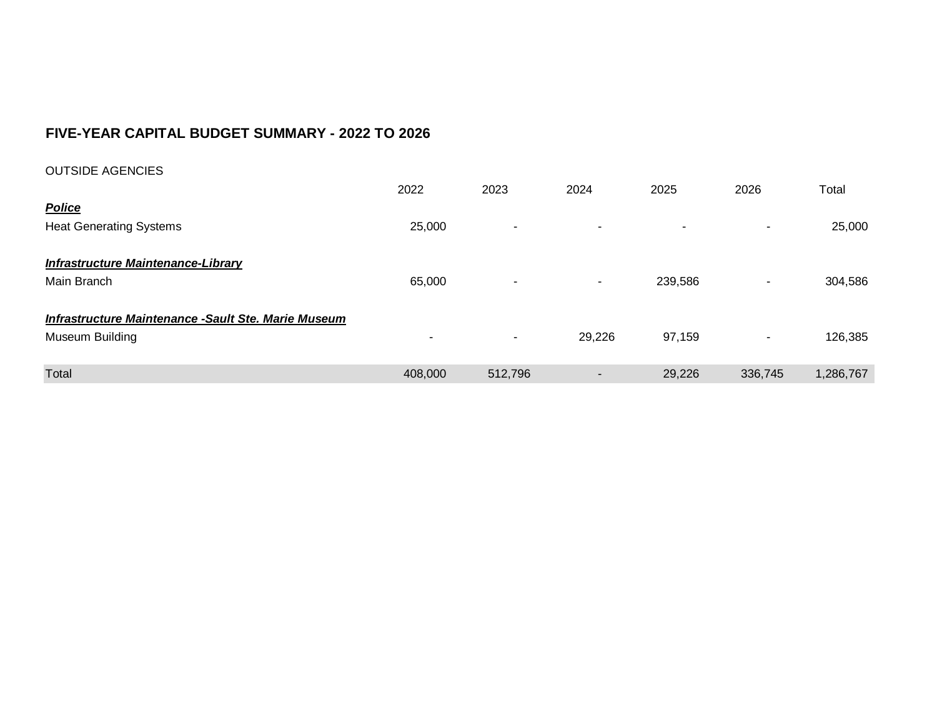| <b>OUTSIDE AGENCIES</b>                             |                          |                          |        |         |         |           |
|-----------------------------------------------------|--------------------------|--------------------------|--------|---------|---------|-----------|
|                                                     | 2022                     | 2023                     | 2024   | 2025    | 2026    | Total     |
| <b>Police</b>                                       |                          |                          |        |         |         |           |
| <b>Heat Generating Systems</b>                      | 25,000                   | $\overline{\phantom{a}}$ | ٠      |         | ۰.      | 25,000    |
|                                                     |                          |                          |        |         |         |           |
| <b>Infrastructure Maintenance-Library</b>           |                          |                          |        |         |         |           |
| Main Branch                                         | 65,000                   | $\overline{\phantom{a}}$ | ٠      | 239,586 | $\sim$  | 304,586   |
|                                                     |                          |                          |        |         |         |           |
| Infrastructure Maintenance -Sault Ste. Marie Museum |                          |                          |        |         |         |           |
| Museum Building                                     | $\overline{\phantom{0}}$ | $\blacksquare$           | 29,226 | 97,159  | ٠       | 126,385   |
|                                                     |                          |                          |        |         |         |           |
| Total                                               | 408,000                  | 512,796                  | -      | 29,226  | 336,745 | 1,286,767 |